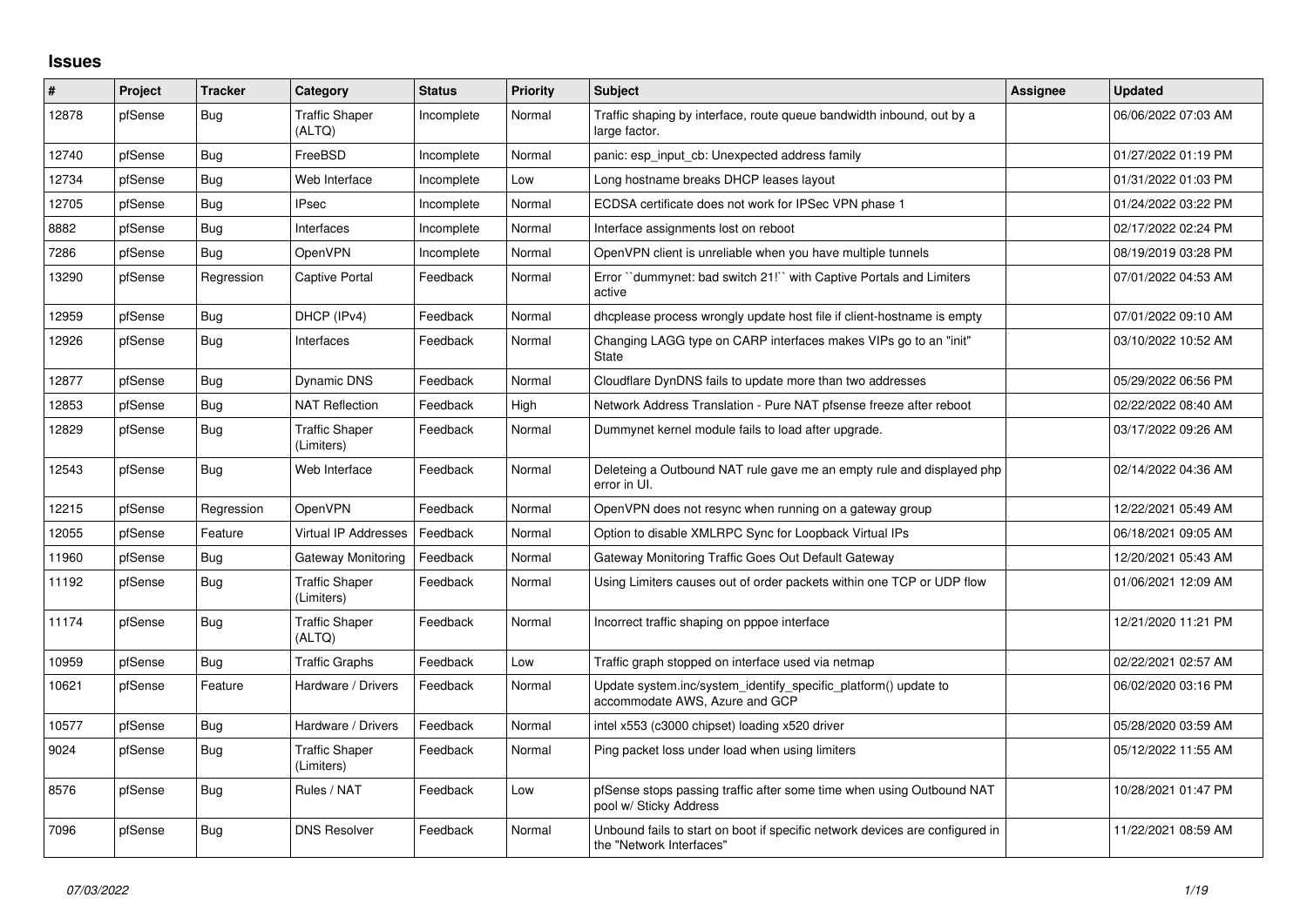## **Issues**

| #     | Project | <b>Tracker</b> | Category                            | <b>Status</b> | <b>Priority</b> | Subject                                                                                                  | <b>Assignee</b> | Updated             |
|-------|---------|----------------|-------------------------------------|---------------|-----------------|----------------------------------------------------------------------------------------------------------|-----------------|---------------------|
| 12878 | pfSense | <b>Bug</b>     | <b>Traffic Shaper</b><br>(ALTQ)     | Incomplete    | Normal          | Traffic shaping by interface, route queue bandwidth inbound, out by a<br>large factor.                   |                 | 06/06/2022 07:03 AM |
| 12740 | pfSense | <b>Bug</b>     | FreeBSD                             | Incomplete    | Normal          | panic: esp input cb: Unexpected address family                                                           |                 | 01/27/2022 01:19 PM |
| 12734 | pfSense | Bug            | Web Interface                       | Incomplete    | Low             | Long hostname breaks DHCP leases layout                                                                  |                 | 01/31/2022 01:03 PM |
| 12705 | pfSense | Bug            | <b>IPsec</b>                        | Incomplete    | Normal          | ECDSA certificate does not work for IPSec VPN phase 1                                                    |                 | 01/24/2022 03:22 PM |
| 8882  | pfSense | <b>Bug</b>     | Interfaces                          | Incomplete    | Normal          | Interface assignments lost on reboot                                                                     |                 | 02/17/2022 02:24 PM |
| 7286  | pfSense | <b>Bug</b>     | OpenVPN                             | Incomplete    | Normal          | OpenVPN client is unreliable when you have multiple tunnels                                              |                 | 08/19/2019 03:28 PM |
| 13290 | pfSense | Regression     | <b>Captive Portal</b>               | Feedback      | Normal          | Error "dummynet: bad switch 21!" with Captive Portals and Limiters<br>active                             |                 | 07/01/2022 04:53 AM |
| 12959 | pfSense | <b>Bug</b>     | DHCP (IPv4)                         | Feedback      | Normal          | dhoplease process wrongly update host file if client-hostname is empty                                   |                 | 07/01/2022 09:10 AM |
| 12926 | pfSense | <b>Bug</b>     | Interfaces                          | Feedback      | Normal          | Changing LAGG type on CARP interfaces makes VIPs go to an "init"<br><b>State</b>                         |                 | 03/10/2022 10:52 AM |
| 12877 | pfSense | <b>Bug</b>     | Dynamic DNS                         | Feedback      | Normal          | Cloudflare DynDNS fails to update more than two addresses                                                |                 | 05/29/2022 06:56 PM |
| 12853 | pfSense | <b>Bug</b>     | <b>NAT Reflection</b>               | Feedback      | High            | Network Address Translation - Pure NAT pfsense freeze after reboot                                       |                 | 02/22/2022 08:40 AM |
| 12829 | pfSense | <b>Bug</b>     | <b>Traffic Shaper</b><br>(Limiters) | Feedback      | Normal          | Dummynet kernel module fails to load after upgrade.                                                      |                 | 03/17/2022 09:26 AM |
| 12543 | pfSense | Bug            | Web Interface                       | Feedback      | Normal          | Deleteing a Outbound NAT rule gave me an empty rule and displayed php<br>error in UI.                    |                 | 02/14/2022 04:36 AM |
| 12215 | pfSense | Regression     | OpenVPN                             | Feedback      | Normal          | OpenVPN does not resync when running on a gateway group                                                  |                 | 12/22/2021 05:49 AM |
| 12055 | pfSense | Feature        | Virtual IP Addresses                | Feedback      | Normal          | Option to disable XMLRPC Sync for Loopback Virtual IPs                                                   |                 | 06/18/2021 09:05 AM |
| 11960 | pfSense | <b>Bug</b>     | Gateway Monitoring                  | Feedback      | Normal          | Gateway Monitoring Traffic Goes Out Default Gateway                                                      |                 | 12/20/2021 05:43 AM |
| 11192 | pfSense | Bug            | <b>Traffic Shaper</b><br>(Limiters) | Feedback      | Normal          | Using Limiters causes out of order packets within one TCP or UDP flow                                    |                 | 01/06/2021 12:09 AM |
| 11174 | pfSense | <b>Bug</b>     | <b>Traffic Shaper</b><br>(ALTQ)     | Feedback      | Normal          | Incorrect traffic shaping on pppoe interface                                                             |                 | 12/21/2020 11:21 PM |
| 10959 | pfSense | Bug            | <b>Traffic Graphs</b>               | Feedback      | Low             | Traffic graph stopped on interface used via netmap                                                       |                 | 02/22/2021 02:57 AM |
| 10621 | pfSense | Feature        | Hardware / Drivers                  | Feedback      | Normal          | Update system.inc/system_identify_specific_platform() update to<br>accommodate AWS, Azure and GCP        |                 | 06/02/2020 03:16 PM |
| 10577 | pfSense | <b>Bug</b>     | Hardware / Drivers                  | Feedback      | Normal          | intel x553 (c3000 chipset) loading x520 driver                                                           |                 | 05/28/2020 03:59 AM |
| 9024  | pfSense | <b>Bug</b>     | <b>Traffic Shaper</b><br>(Limiters) | Feedback      | Normal          | Ping packet loss under load when using limiters                                                          |                 | 05/12/2022 11:55 AM |
| 8576  | pfSense | <b>Bug</b>     | Rules / NAT                         | Feedback      | Low             | pfSense stops passing traffic after some time when using Outbound NAT<br>pool w/ Sticky Address          |                 | 10/28/2021 01:47 PM |
| 7096  | pfSense | Bug            | <b>DNS Resolver</b>                 | Feedback      | Normal          | Unbound fails to start on boot if specific network devices are configured in<br>the "Network Interfaces" |                 | 11/22/2021 08:59 AM |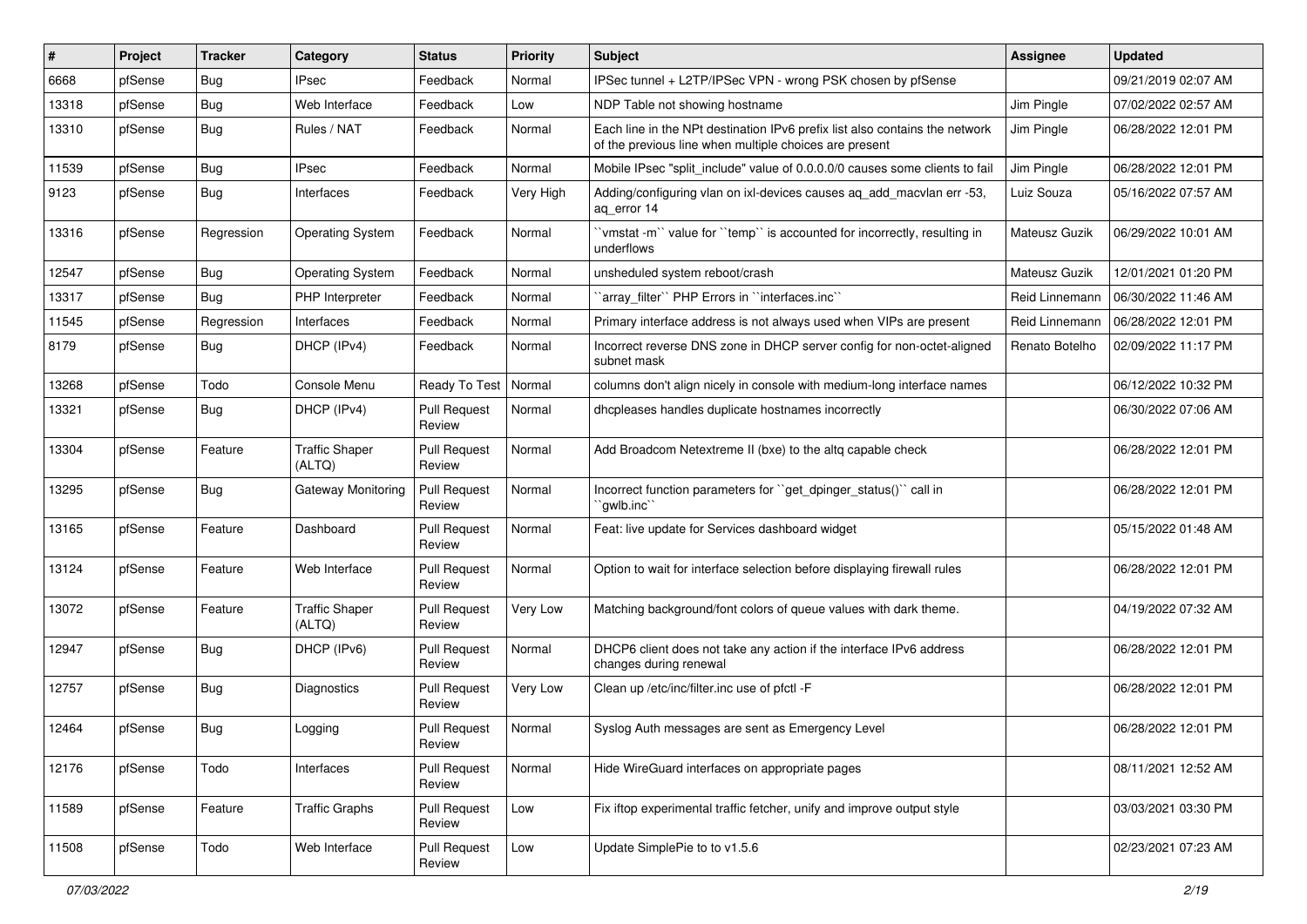| #     | Project | <b>Tracker</b> | Category                        | <b>Status</b>                 | <b>Priority</b> | <b>Subject</b>                                                                                                                        | <b>Assignee</b> | <b>Updated</b>      |
|-------|---------|----------------|---------------------------------|-------------------------------|-----------------|---------------------------------------------------------------------------------------------------------------------------------------|-----------------|---------------------|
| 6668  | pfSense | <b>Bug</b>     | IPsec                           | Feedback                      | Normal          | IPSec tunnel + L2TP/IPSec VPN - wrong PSK chosen by pfSense                                                                           |                 | 09/21/2019 02:07 AM |
| 13318 | pfSense | Bug            | Web Interface                   | Feedback                      | Low             | NDP Table not showing hostname                                                                                                        | Jim Pingle      | 07/02/2022 02:57 AM |
| 13310 | pfSense | Bug            | Rules / NAT                     | Feedback                      | Normal          | Each line in the NPt destination IPv6 prefix list also contains the network<br>of the previous line when multiple choices are present | Jim Pingle      | 06/28/2022 12:01 PM |
| 11539 | pfSense | Bug            | <b>IPsec</b>                    | Feedback                      | Normal          | Mobile IPsec "split_include" value of 0.0.0.0/0 causes some clients to fail                                                           | Jim Pingle      | 06/28/2022 12:01 PM |
| 9123  | pfSense | Bug            | Interfaces                      | Feedback                      | Very High       | Adding/configuring vlan on ixl-devices causes ag add macvlan err -53,<br>ag error 14                                                  | Luiz Souza      | 05/16/2022 07:57 AM |
| 13316 | pfSense | Regression     | <b>Operating System</b>         | Feedback                      | Normal          | 'vmstat -m'' value for ''temp'' is accounted for incorrectly, resulting in<br>underflows                                              | Mateusz Guzik   | 06/29/2022 10:01 AM |
| 12547 | pfSense | Bug            | <b>Operating System</b>         | Feedback                      | Normal          | unsheduled system reboot/crash                                                                                                        | Mateusz Guzik   | 12/01/2021 01:20 PM |
| 13317 | pfSense | Bug            | PHP Interpreter                 | Feedback                      | Normal          | 'array_filter'' PHP Errors in ''interfaces.inc''                                                                                      | Reid Linnemann  | 06/30/2022 11:46 AM |
| 11545 | pfSense | Regression     | Interfaces                      | Feedback                      | Normal          | Primary interface address is not always used when VIPs are present                                                                    | Reid Linnemann  | 06/28/2022 12:01 PM |
| 8179  | pfSense | Bug            | DHCP (IPv4)                     | Feedback                      | Normal          | Incorrect reverse DNS zone in DHCP server config for non-octet-aligned<br>subnet mask                                                 | Renato Botelho  | 02/09/2022 11:17 PM |
| 13268 | pfSense | Todo           | Console Menu                    | Ready To Test                 | Normal          | columns don't align nicely in console with medium-long interface names                                                                |                 | 06/12/2022 10:32 PM |
| 13321 | pfSense | Bug            | DHCP (IPv4)                     | <b>Pull Request</b><br>Review | Normal          | dhcpleases handles duplicate hostnames incorrectly                                                                                    |                 | 06/30/2022 07:06 AM |
| 13304 | pfSense | Feature        | <b>Traffic Shaper</b><br>(ALTQ) | <b>Pull Request</b><br>Review | Normal          | Add Broadcom Netextreme II (bxe) to the altg capable check                                                                            |                 | 06/28/2022 12:01 PM |
| 13295 | pfSense | Bug            | <b>Gateway Monitoring</b>       | <b>Pull Request</b><br>Review | Normal          | Incorrect function parameters for "get dpinger status()" call in<br>`gwlb.inc``                                                       |                 | 06/28/2022 12:01 PM |
| 13165 | pfSense | Feature        | Dashboard                       | <b>Pull Request</b><br>Review | Normal          | Feat: live update for Services dashboard widget                                                                                       |                 | 05/15/2022 01:48 AM |
| 13124 | pfSense | Feature        | Web Interface                   | <b>Pull Request</b><br>Review | Normal          | Option to wait for interface selection before displaying firewall rules                                                               |                 | 06/28/2022 12:01 PM |
| 13072 | pfSense | Feature        | <b>Traffic Shaper</b><br>(ALTQ) | <b>Pull Request</b><br>Review | Very Low        | Matching background/font colors of queue values with dark theme.                                                                      |                 | 04/19/2022 07:32 AM |
| 12947 | pfSense | Bug            | DHCP (IPv6)                     | <b>Pull Request</b><br>Review | Normal          | DHCP6 client does not take any action if the interface IPv6 address<br>changes during renewal                                         |                 | 06/28/2022 12:01 PM |
| 12757 | pfSense | Bug            | Diagnostics                     | <b>Pull Request</b><br>Review | Very Low        | Clean up /etc/inc/filter.inc use of pfctl -F                                                                                          |                 | 06/28/2022 12:01 PM |
| 12464 | pfSense | <b>Bug</b>     | Logging                         | <b>Pull Request</b><br>Review | Normal          | Syslog Auth messages are sent as Emergency Level                                                                                      |                 | 06/28/2022 12:01 PM |
| 12176 | pfSense | Todo           | Interfaces                      | <b>Pull Request</b><br>Review | Normal          | Hide WireGuard interfaces on appropriate pages                                                                                        |                 | 08/11/2021 12:52 AM |
| 11589 | pfSense | Feature        | <b>Traffic Graphs</b>           | <b>Pull Request</b><br>Review | Low             | Fix iftop experimental traffic fetcher, unify and improve output style                                                                |                 | 03/03/2021 03:30 PM |
| 11508 | pfSense | Todo           | Web Interface                   | Pull Request<br>Review        | Low             | Update SimplePie to to v1.5.6                                                                                                         |                 | 02/23/2021 07:23 AM |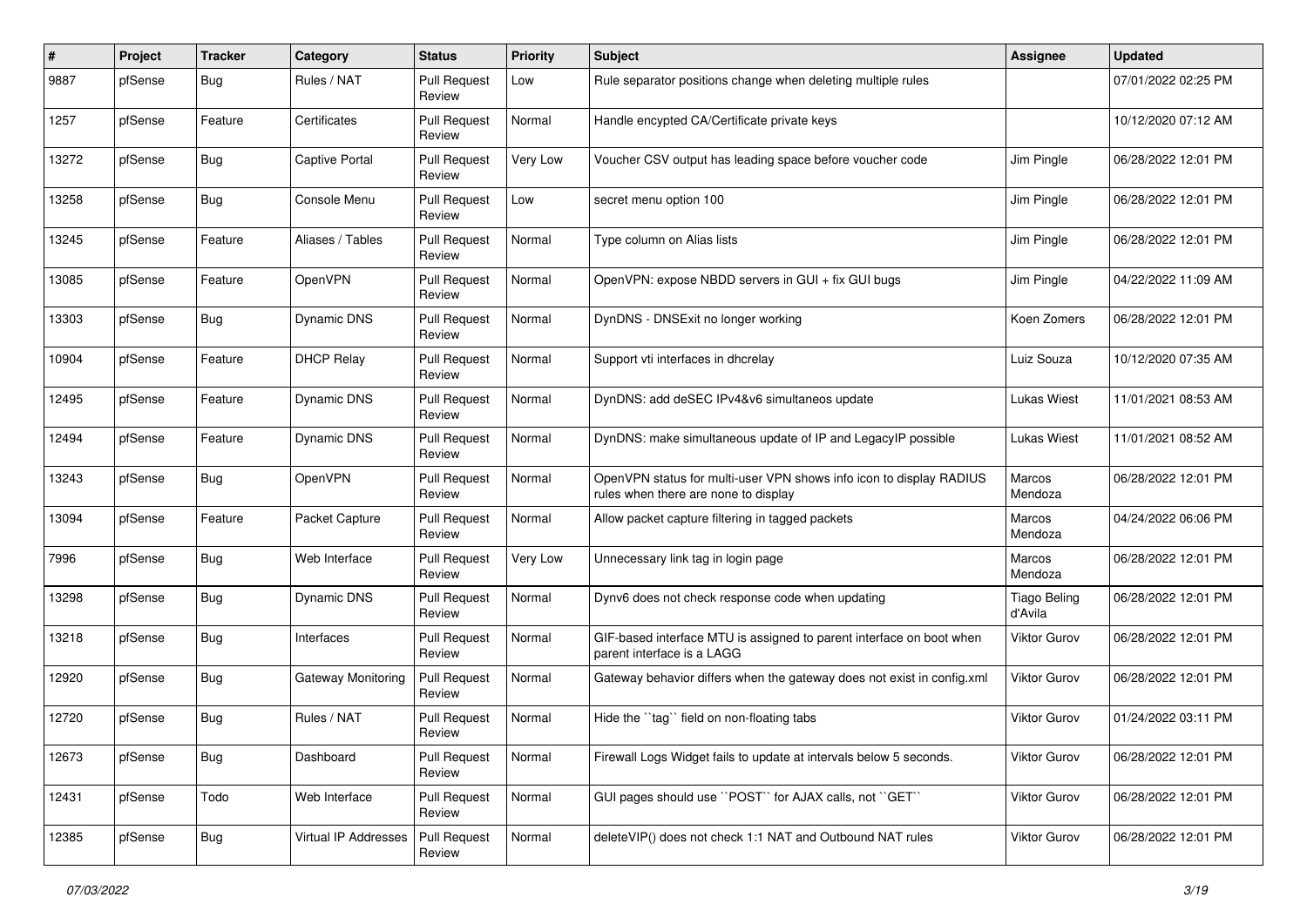| ∦     | Project | <b>Tracker</b> | Category                    | <b>Status</b>                 | <b>Priority</b> | <b>Subject</b>                                                                                              | Assignee                       | <b>Updated</b>      |
|-------|---------|----------------|-----------------------------|-------------------------------|-----------------|-------------------------------------------------------------------------------------------------------------|--------------------------------|---------------------|
| 9887  | pfSense | <b>Bug</b>     | Rules / NAT                 | <b>Pull Request</b><br>Review | Low             | Rule separator positions change when deleting multiple rules                                                |                                | 07/01/2022 02:25 PM |
| 1257  | pfSense | Feature        | Certificates                | <b>Pull Request</b><br>Review | Normal          | Handle encypted CA/Certificate private keys                                                                 |                                | 10/12/2020 07:12 AM |
| 13272 | pfSense | <b>Bug</b>     | <b>Captive Portal</b>       | <b>Pull Request</b><br>Review | Very Low        | Voucher CSV output has leading space before voucher code                                                    | Jim Pingle                     | 06/28/2022 12:01 PM |
| 13258 | pfSense | Bug            | Console Menu                | <b>Pull Request</b><br>Review | Low             | secret menu option 100                                                                                      | Jim Pingle                     | 06/28/2022 12:01 PM |
| 13245 | pfSense | Feature        | Aliases / Tables            | <b>Pull Request</b><br>Review | Normal          | Type column on Alias lists                                                                                  | Jim Pingle                     | 06/28/2022 12:01 PM |
| 13085 | pfSense | Feature        | OpenVPN                     | <b>Pull Request</b><br>Review | Normal          | OpenVPN: expose NBDD servers in GUI + fix GUI bugs                                                          | Jim Pingle                     | 04/22/2022 11:09 AM |
| 13303 | pfSense | Bug            | <b>Dynamic DNS</b>          | <b>Pull Request</b><br>Review | Normal          | DynDNS - DNSExit no longer working                                                                          | Koen Zomers                    | 06/28/2022 12:01 PM |
| 10904 | pfSense | Feature        | <b>DHCP Relay</b>           | <b>Pull Request</b><br>Review | Normal          | Support vti interfaces in dhcrelay                                                                          | Luiz Souza                     | 10/12/2020 07:35 AM |
| 12495 | pfSense | Feature        | <b>Dynamic DNS</b>          | <b>Pull Request</b><br>Review | Normal          | DynDNS: add deSEC IPv4&v6 simultaneos update                                                                | Lukas Wiest                    | 11/01/2021 08:53 AM |
| 12494 | pfSense | Feature        | Dynamic DNS                 | <b>Pull Request</b><br>Review | Normal          | DynDNS: make simultaneous update of IP and LegacyIP possible                                                | Lukas Wiest                    | 11/01/2021 08:52 AM |
| 13243 | pfSense | Bug            | OpenVPN                     | <b>Pull Request</b><br>Review | Normal          | OpenVPN status for multi-user VPN shows info icon to display RADIUS<br>rules when there are none to display | Marcos<br>Mendoza              | 06/28/2022 12:01 PM |
| 13094 | pfSense | Feature        | Packet Capture              | <b>Pull Request</b><br>Review | Normal          | Allow packet capture filtering in tagged packets                                                            | Marcos<br>Mendoza              | 04/24/2022 06:06 PM |
| 7996  | pfSense | Bug            | Web Interface               | <b>Pull Request</b><br>Review | Very Low        | Unnecessary link tag in login page                                                                          | Marcos<br>Mendoza              | 06/28/2022 12:01 PM |
| 13298 | pfSense | <b>Bug</b>     | Dynamic DNS                 | <b>Pull Request</b><br>Review | Normal          | Dynv6 does not check response code when updating                                                            | <b>Tiago Beling</b><br>d'Avila | 06/28/2022 12:01 PM |
| 13218 | pfSense | Bug            | Interfaces                  | <b>Pull Request</b><br>Review | Normal          | GIF-based interface MTU is assigned to parent interface on boot when<br>parent interface is a LAGG          | <b>Viktor Gurov</b>            | 06/28/2022 12:01 PM |
| 12920 | pfSense | Bug            | <b>Gateway Monitoring</b>   | <b>Pull Request</b><br>Review | Normal          | Gateway behavior differs when the gateway does not exist in config.xml                                      | Viktor Gurov                   | 06/28/2022 12:01 PM |
| 12720 | pfSense | Bug            | Rules / NAT                 | <b>Pull Request</b><br>Review | Normal          | Hide the "tag" field on non-floating tabs                                                                   | Viktor Gurov                   | 01/24/2022 03:11 PM |
| 12673 | pfSense | <b>Bug</b>     | Dashboard                   | <b>Pull Request</b><br>Review | Normal          | Firewall Logs Widget fails to update at intervals below 5 seconds.                                          | Viktor Gurov                   | 06/28/2022 12:01 PM |
| 12431 | pfSense | Todo           | Web Interface               | <b>Pull Request</b><br>Review | Normal          | GUI pages should use "POST" for AJAX calls, not "GET"                                                       | Viktor Gurov                   | 06/28/2022 12:01 PM |
| 12385 | pfSense | <b>Bug</b>     | <b>Virtual IP Addresses</b> | Pull Request<br>Review        | Normal          | deleteVIP() does not check 1:1 NAT and Outbound NAT rules                                                   | Viktor Gurov                   | 06/28/2022 12:01 PM |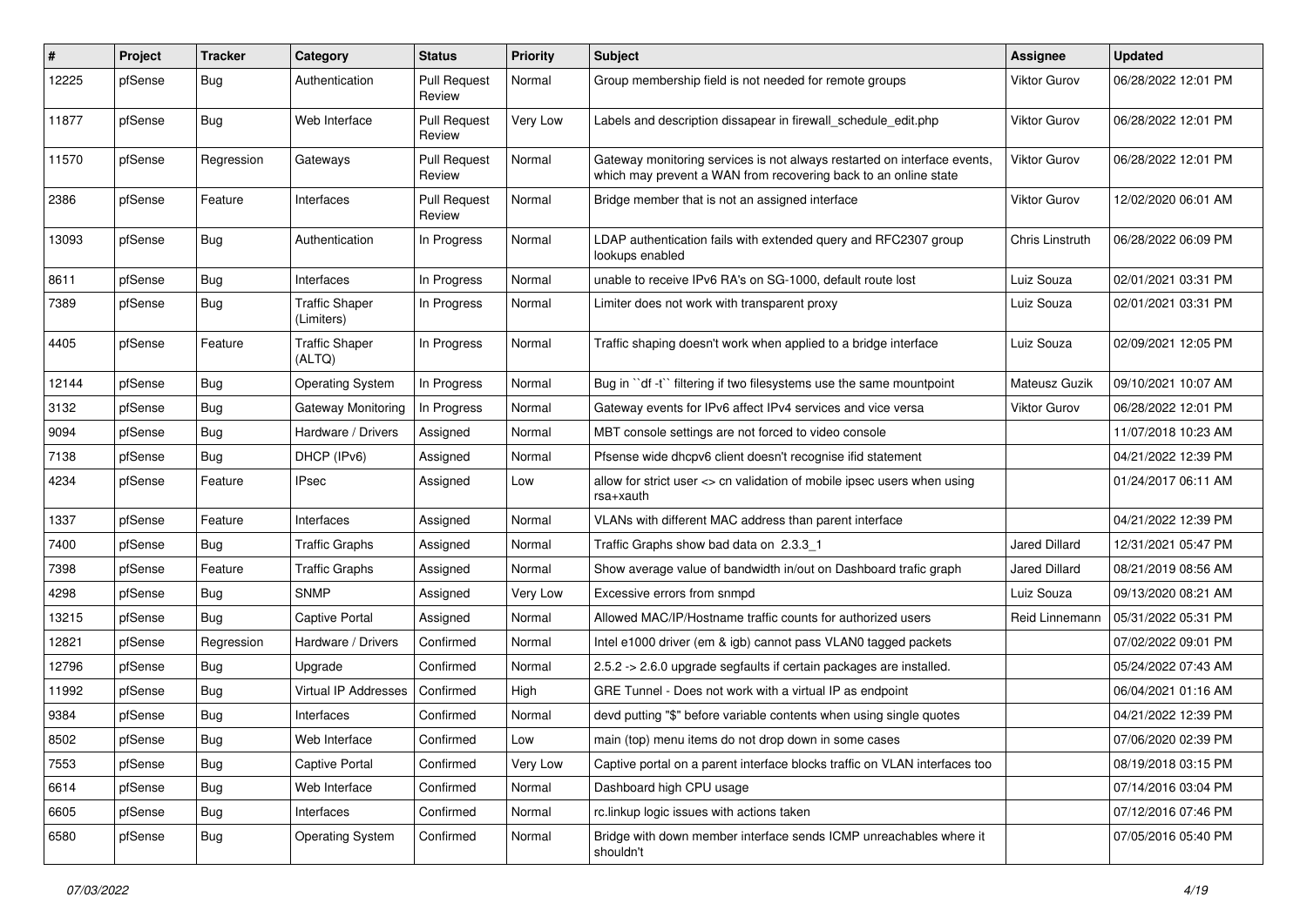| #     | Project | <b>Tracker</b> | Category                            | <b>Status</b>                 | <b>Priority</b> | <b>Subject</b>                                                                                                                             | <b>Assignee</b>     | <b>Updated</b>      |
|-------|---------|----------------|-------------------------------------|-------------------------------|-----------------|--------------------------------------------------------------------------------------------------------------------------------------------|---------------------|---------------------|
| 12225 | pfSense | Bug            | Authentication                      | <b>Pull Request</b><br>Review | Normal          | Group membership field is not needed for remote groups                                                                                     | Viktor Gurov        | 06/28/2022 12:01 PM |
| 11877 | pfSense | Bug            | Web Interface                       | <b>Pull Request</b><br>Review | Very Low        | Labels and description dissapear in firewall schedule edit.php                                                                             | Viktor Gurov        | 06/28/2022 12:01 PM |
| 11570 | pfSense | Regression     | Gateways                            | <b>Pull Request</b><br>Review | Normal          | Gateway monitoring services is not always restarted on interface events<br>which may prevent a WAN from recovering back to an online state | <b>Viktor Gurov</b> | 06/28/2022 12:01 PM |
| 2386  | pfSense | Feature        | Interfaces                          | <b>Pull Request</b><br>Review | Normal          | Bridge member that is not an assigned interface                                                                                            | <b>Viktor Gurov</b> | 12/02/2020 06:01 AM |
| 13093 | pfSense | Bug            | Authentication                      | In Progress                   | Normal          | LDAP authentication fails with extended query and RFC2307 group<br>lookups enabled                                                         | Chris Linstruth     | 06/28/2022 06:09 PM |
| 8611  | pfSense | <b>Bug</b>     | Interfaces                          | In Progress                   | Normal          | unable to receive IPv6 RA's on SG-1000, default route lost                                                                                 | Luiz Souza          | 02/01/2021 03:31 PM |
| 7389  | pfSense | Bug            | <b>Traffic Shaper</b><br>(Limiters) | In Progress                   | Normal          | Limiter does not work with transparent proxy                                                                                               | Luiz Souza          | 02/01/2021 03:31 PM |
| 4405  | pfSense | Feature        | <b>Traffic Shaper</b><br>(ALTQ)     | In Progress                   | Normal          | Traffic shaping doesn't work when applied to a bridge interface                                                                            | Luiz Souza          | 02/09/2021 12:05 PM |
| 12144 | pfSense | Bug            | <b>Operating System</b>             | In Progress                   | Normal          | Bug in "df -t" filtering if two filesystems use the same mountpoint                                                                        | Mateusz Guzik       | 09/10/2021 10:07 AM |
| 3132  | pfSense | <b>Bug</b>     | Gateway Monitoring                  | In Progress                   | Normal          | Gateway events for IPv6 affect IPv4 services and vice versa                                                                                | <b>Viktor Gurov</b> | 06/28/2022 12:01 PM |
| 9094  | pfSense | Bug            | Hardware / Drivers                  | Assigned                      | Normal          | MBT console settings are not forced to video console                                                                                       |                     | 11/07/2018 10:23 AM |
| 7138  | pfSense | <b>Bug</b>     | DHCP (IPv6)                         | Assigned                      | Normal          | Pfsense wide dhcpv6 client doesn't recognise ifid statement                                                                                |                     | 04/21/2022 12:39 PM |
| 4234  | pfSense | Feature        | IPsec                               | Assigned                      | Low             | allow for strict user <> cn validation of mobile ipsec users when using<br>rsa+xauth                                                       |                     | 01/24/2017 06:11 AM |
| 1337  | pfSense | Feature        | Interfaces                          | Assigned                      | Normal          | VLANs with different MAC address than parent interface                                                                                     |                     | 04/21/2022 12:39 PM |
| 7400  | pfSense | <b>Bug</b>     | <b>Traffic Graphs</b>               | Assigned                      | Normal          | Traffic Graphs show bad data on 2.3.3 1                                                                                                    | Jared Dillard       | 12/31/2021 05:47 PM |
| 7398  | pfSense | Feature        | <b>Traffic Graphs</b>               | Assigned                      | Normal          | Show average value of bandwidth in/out on Dashboard trafic graph                                                                           | Jared Dillard       | 08/21/2019 08:56 AM |
| 4298  | pfSense | <b>Bug</b>     | <b>SNMP</b>                         | Assigned                      | Very Low        | Excessive errors from snmpd                                                                                                                | Luiz Souza          | 09/13/2020 08:21 AM |
| 13215 | pfSense | <b>Bug</b>     | Captive Portal                      | Assigned                      | Normal          | Allowed MAC/IP/Hostname traffic counts for authorized users                                                                                | Reid Linnemann      | 05/31/2022 05:31 PM |
| 12821 | pfSense | Regression     | Hardware / Drivers                  | Confirmed                     | Normal          | Intel e1000 driver (em & igb) cannot pass VLAN0 tagged packets                                                                             |                     | 07/02/2022 09:01 PM |
| 12796 | pfSense | <b>Bug</b>     | Upgrade                             | Confirmed                     | Normal          | 2.5.2 -> 2.6.0 upgrade segfaults if certain packages are installed.                                                                        |                     | 05/24/2022 07:43 AM |
| 11992 | pfSense | Bug            | Virtual IP Addresses                | Confirmed                     | High            | GRE Tunnel - Does not work with a virtual IP as endpoint                                                                                   |                     | 06/04/2021 01:16 AM |
| 9384  | pfSense | <b>Bug</b>     | Interfaces                          | Confirmed                     | Normal          | devd putting "\$" before variable contents when using single quotes                                                                        |                     | 04/21/2022 12:39 PM |
| 8502  | pfSense | <b>Bug</b>     | Web Interface                       | Confirmed                     | Low             | main (top) menu items do not drop down in some cases                                                                                       |                     | 07/06/2020 02:39 PM |
| 7553  | pfSense | Bug            | Captive Portal                      | Confirmed                     | Very Low        | Captive portal on a parent interface blocks traffic on VLAN interfaces too                                                                 |                     | 08/19/2018 03:15 PM |
| 6614  | pfSense | <b>Bug</b>     | Web Interface                       | Confirmed                     | Normal          | Dashboard high CPU usage                                                                                                                   |                     | 07/14/2016 03:04 PM |
| 6605  | pfSense | <b>Bug</b>     | Interfaces                          | Confirmed                     | Normal          | rc.linkup logic issues with actions taken                                                                                                  |                     | 07/12/2016 07:46 PM |
| 6580  | pfSense | <b>Bug</b>     | <b>Operating System</b>             | Confirmed                     | Normal          | Bridge with down member interface sends ICMP unreachables where it<br>shouldn't                                                            |                     | 07/05/2016 05:40 PM |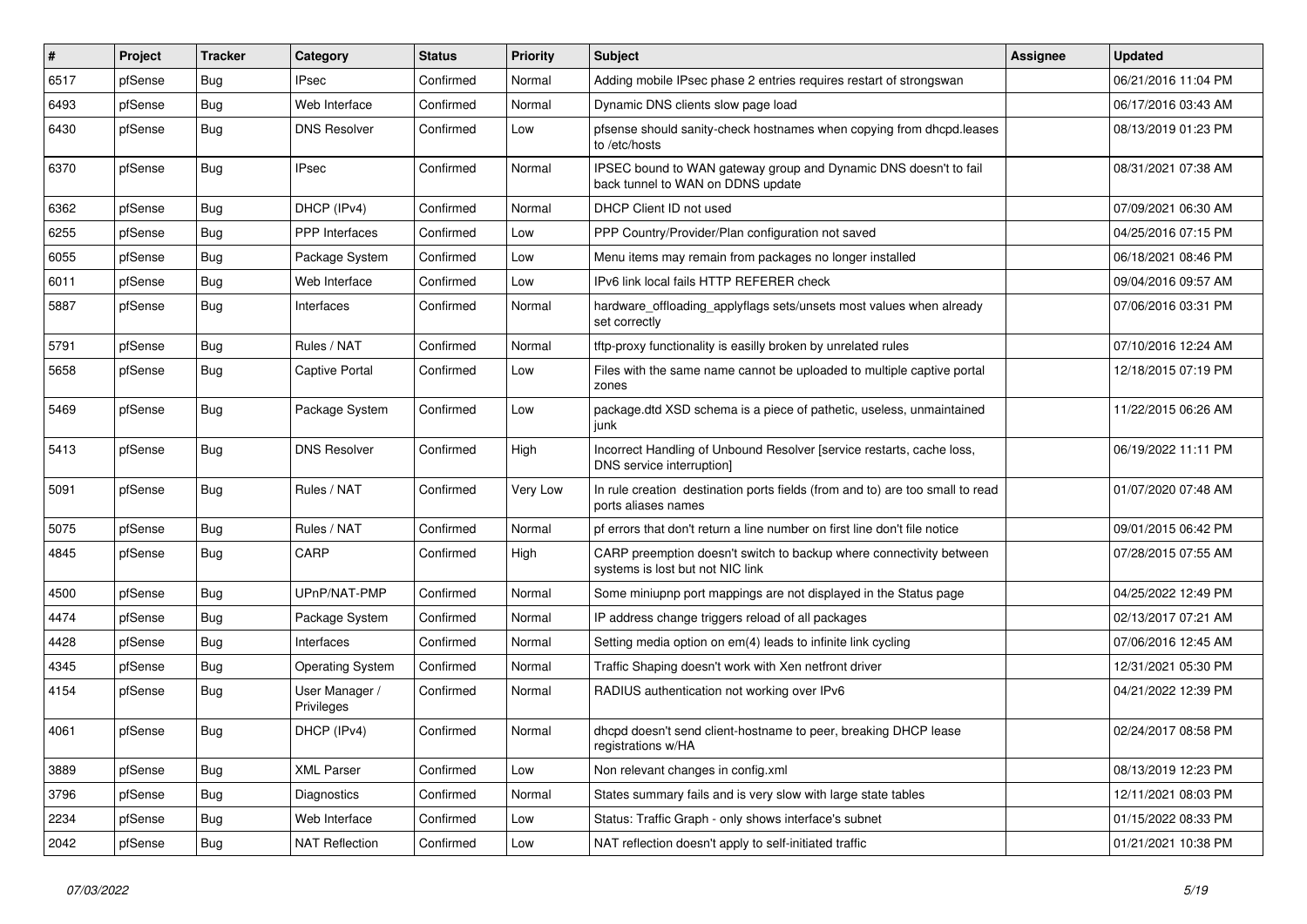| $\vert$ # | Project | <b>Tracker</b> | Category                     | <b>Status</b> | <b>Priority</b> | <b>Subject</b>                                                                                          | Assignee | <b>Updated</b>      |
|-----------|---------|----------------|------------------------------|---------------|-----------------|---------------------------------------------------------------------------------------------------------|----------|---------------------|
| 6517      | pfSense | <b>Bug</b>     | <b>IPsec</b>                 | Confirmed     | Normal          | Adding mobile IPsec phase 2 entries requires restart of strongswan                                      |          | 06/21/2016 11:04 PM |
| 6493      | pfSense | Bug            | Web Interface                | Confirmed     | Normal          | Dynamic DNS clients slow page load                                                                      |          | 06/17/2016 03:43 AM |
| 6430      | pfSense | Bug            | <b>DNS Resolver</b>          | Confirmed     | Low             | pfsense should sanity-check hostnames when copying from dhcpd.leases<br>to /etc/hosts                   |          | 08/13/2019 01:23 PM |
| 6370      | pfSense | Bug            | <b>IPsec</b>                 | Confirmed     | Normal          | IPSEC bound to WAN gateway group and Dynamic DNS doesn't to fail<br>back tunnel to WAN on DDNS update   |          | 08/31/2021 07:38 AM |
| 6362      | pfSense | Bug            | DHCP (IPv4)                  | Confirmed     | Normal          | DHCP Client ID not used                                                                                 |          | 07/09/2021 06:30 AM |
| 6255      | pfSense | <b>Bug</b>     | PPP Interfaces               | Confirmed     | Low             | PPP Country/Provider/Plan configuration not saved                                                       |          | 04/25/2016 07:15 PM |
| 6055      | pfSense | <b>Bug</b>     | Package System               | Confirmed     | Low             | Menu items may remain from packages no longer installed                                                 |          | 06/18/2021 08:46 PM |
| 6011      | pfSense | <b>Bug</b>     | Web Interface                | Confirmed     | Low             | IPv6 link local fails HTTP REFERER check                                                                |          | 09/04/2016 09:57 AM |
| 5887      | pfSense | <b>Bug</b>     | Interfaces                   | Confirmed     | Normal          | hardware_offloading_applyflags sets/unsets most values when already<br>set correctly                    |          | 07/06/2016 03:31 PM |
| 5791      | pfSense | <b>Bug</b>     | Rules / NAT                  | Confirmed     | Normal          | tftp-proxy functionality is easilly broken by unrelated rules                                           |          | 07/10/2016 12:24 AM |
| 5658      | pfSense | Bug            | <b>Captive Portal</b>        | Confirmed     | Low             | Files with the same name cannot be uploaded to multiple captive portal<br>zones                         |          | 12/18/2015 07:19 PM |
| 5469      | pfSense | Bug            | Package System               | Confirmed     | Low             | package.dtd XSD schema is a piece of pathetic, useless, unmaintained<br>junk                            |          | 11/22/2015 06:26 AM |
| 5413      | pfSense | Bug            | <b>DNS Resolver</b>          | Confirmed     | High            | Incorrect Handling of Unbound Resolver [service restarts, cache loss,<br>DNS service interruption]      |          | 06/19/2022 11:11 PM |
| 5091      | pfSense | Bug            | Rules / NAT                  | Confirmed     | Very Low        | In rule creation destination ports fields (from and to) are too small to read<br>ports aliases names    |          | 01/07/2020 07:48 AM |
| 5075      | pfSense | <b>Bug</b>     | Rules / NAT                  | Confirmed     | Normal          | pf errors that don't return a line number on first line don't file notice                               |          | 09/01/2015 06:42 PM |
| 4845      | pfSense | Bug            | CARP                         | Confirmed     | High            | CARP preemption doesn't switch to backup where connectivity between<br>systems is lost but not NIC link |          | 07/28/2015 07:55 AM |
| 4500      | pfSense | <b>Bug</b>     | UPnP/NAT-PMP                 | Confirmed     | Normal          | Some miniupnp port mappings are not displayed in the Status page                                        |          | 04/25/2022 12:49 PM |
| 4474      | pfSense | <b>Bug</b>     | Package System               | Confirmed     | Normal          | IP address change triggers reload of all packages                                                       |          | 02/13/2017 07:21 AM |
| 4428      | pfSense | Bug            | Interfaces                   | Confirmed     | Normal          | Setting media option on em(4) leads to infinite link cycling                                            |          | 07/06/2016 12:45 AM |
| 4345      | pfSense | <b>Bug</b>     | <b>Operating System</b>      | Confirmed     | Normal          | Traffic Shaping doesn't work with Xen netfront driver                                                   |          | 12/31/2021 05:30 PM |
| 4154      | pfSense | <b>Bug</b>     | User Manager /<br>Privileges | Confirmed     | Normal          | RADIUS authentication not working over IPv6                                                             |          | 04/21/2022 12:39 PM |
| 4061      | pfSense | Bug            | DHCP (IPv4)                  | Confirmed     | Normal          | dhcpd doesn't send client-hostname to peer, breaking DHCP lease<br>registrations w/HA                   |          | 02/24/2017 08:58 PM |
| 3889      | pfSense | <b>Bug</b>     | <b>XML Parser</b>            | Confirmed     | Low             | Non relevant changes in config.xml                                                                      |          | 08/13/2019 12:23 PM |
| 3796      | pfSense | <b>Bug</b>     | Diagnostics                  | Confirmed     | Normal          | States summary fails and is very slow with large state tables                                           |          | 12/11/2021 08:03 PM |
| 2234      | pfSense | Bug            | Web Interface                | Confirmed     | Low             | Status: Traffic Graph - only shows interface's subnet                                                   |          | 01/15/2022 08:33 PM |
| 2042      | pfSense | Bug            | <b>NAT Reflection</b>        | Confirmed     | Low             | NAT reflection doesn't apply to self-initiated traffic                                                  |          | 01/21/2021 10:38 PM |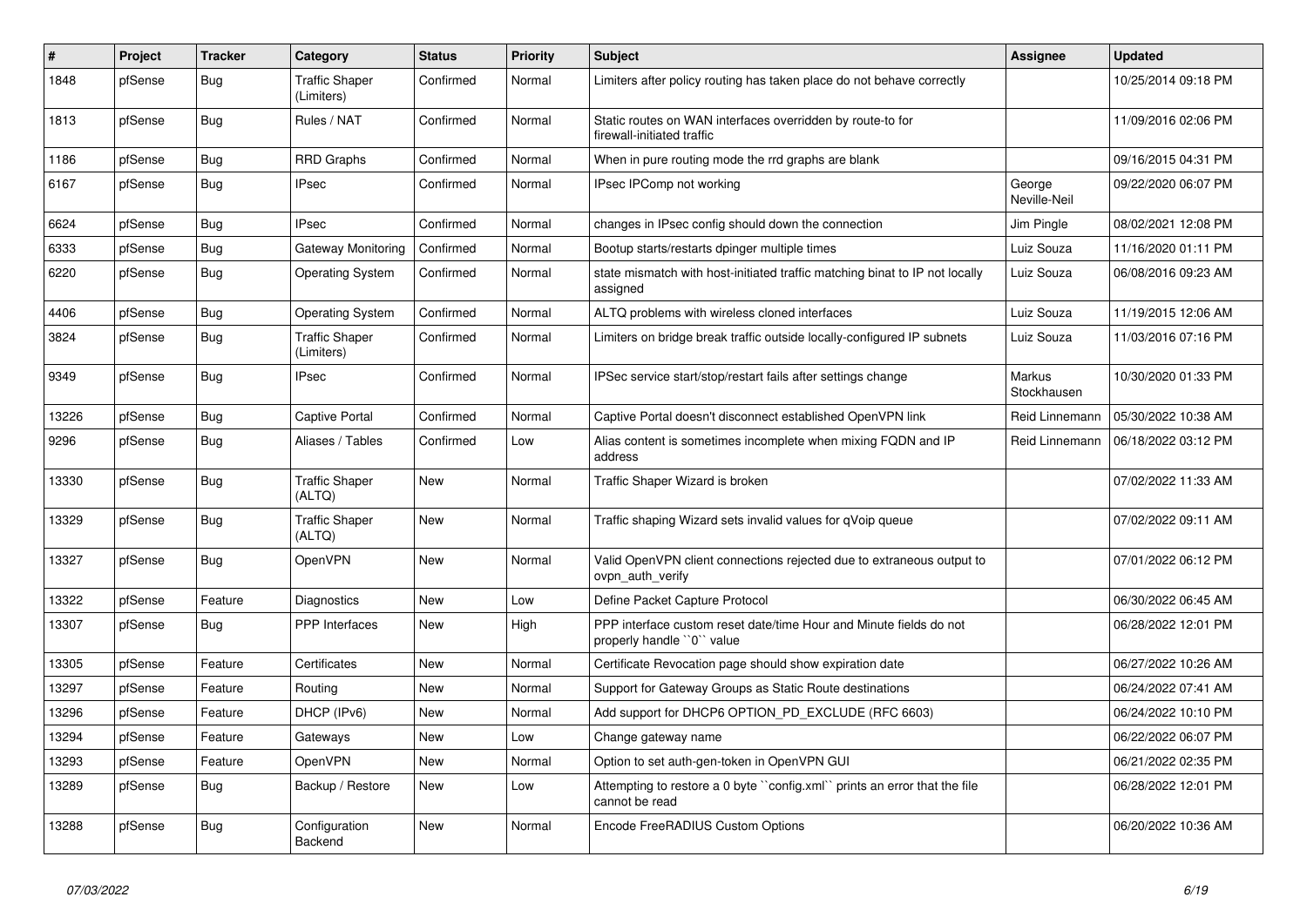| #     | Project | <b>Tracker</b> | Category                            | <b>Status</b> | <b>Priority</b> | <b>Subject</b>                                                                                  | <b>Assignee</b>              | <b>Updated</b>      |
|-------|---------|----------------|-------------------------------------|---------------|-----------------|-------------------------------------------------------------------------------------------------|------------------------------|---------------------|
| 1848  | pfSense | <b>Bug</b>     | <b>Traffic Shaper</b><br>(Limiters) | Confirmed     | Normal          | Limiters after policy routing has taken place do not behave correctly                           |                              | 10/25/2014 09:18 PM |
| 1813  | pfSense | Bug            | Rules / NAT                         | Confirmed     | Normal          | Static routes on WAN interfaces overridden by route-to for<br>firewall-initiated traffic        |                              | 11/09/2016 02:06 PM |
| 1186  | pfSense | <b>Bug</b>     | <b>RRD Graphs</b>                   | Confirmed     | Normal          | When in pure routing mode the rrd graphs are blank                                              |                              | 09/16/2015 04:31 PM |
| 6167  | pfSense | <b>Bug</b>     | <b>IPsec</b>                        | Confirmed     | Normal          | IPsec IPComp not working                                                                        | George<br>Neville-Neil       | 09/22/2020 06:07 PM |
| 6624  | pfSense | <b>Bug</b>     | <b>IPsec</b>                        | Confirmed     | Normal          | changes in IPsec config should down the connection                                              | Jim Pingle                   | 08/02/2021 12:08 PM |
| 6333  | pfSense | Bug            | Gateway Monitoring                  | Confirmed     | Normal          | Bootup starts/restarts dpinger multiple times                                                   | Luiz Souza                   | 11/16/2020 01:11 PM |
| 6220  | pfSense | <b>Bug</b>     | <b>Operating System</b>             | Confirmed     | Normal          | state mismatch with host-initiated traffic matching binat to IP not locally<br>assigned         | Luiz Souza                   | 06/08/2016 09:23 AM |
| 4406  | pfSense | <b>Bug</b>     | <b>Operating System</b>             | Confirmed     | Normal          | ALTQ problems with wireless cloned interfaces                                                   | Luiz Souza                   | 11/19/2015 12:06 AM |
| 3824  | pfSense | <b>Bug</b>     | <b>Traffic Shaper</b><br>(Limiters) | Confirmed     | Normal          | Limiters on bridge break traffic outside locally-configured IP subnets                          | Luiz Souza                   | 11/03/2016 07:16 PM |
| 9349  | pfSense | Bug            | <b>IPsec</b>                        | Confirmed     | Normal          | IPSec service start/stop/restart fails after settings change                                    | <b>Markus</b><br>Stockhausen | 10/30/2020 01:33 PM |
| 13226 | pfSense | <b>Bug</b>     | <b>Captive Portal</b>               | Confirmed     | Normal          | Captive Portal doesn't disconnect established OpenVPN link                                      | Reid Linnemann               | 05/30/2022 10:38 AM |
| 9296  | pfSense | Bug            | Aliases / Tables                    | Confirmed     | Low             | Alias content is sometimes incomplete when mixing FQDN and IP<br>address                        | Reid Linnemann               | 06/18/2022 03:12 PM |
| 13330 | pfSense | <b>Bug</b>     | <b>Traffic Shaper</b><br>(ALTQ)     | <b>New</b>    | Normal          | Traffic Shaper Wizard is broken                                                                 |                              | 07/02/2022 11:33 AM |
| 13329 | pfSense | <b>Bug</b>     | <b>Traffic Shaper</b><br>(ALTQ)     | New           | Normal          | Traffic shaping Wizard sets invalid values for qVoip queue                                      |                              | 07/02/2022 09:11 AM |
| 13327 | pfSense | Bug            | OpenVPN                             | New           | Normal          | Valid OpenVPN client connections rejected due to extraneous output to<br>ovpn auth verify       |                              | 07/01/2022 06:12 PM |
| 13322 | pfSense | Feature        | Diagnostics                         | <b>New</b>    | Low             | Define Packet Capture Protocol                                                                  |                              | 06/30/2022 06:45 AM |
| 13307 | pfSense | <b>Bug</b>     | PPP Interfaces                      | New           | High            | PPP interface custom reset date/time Hour and Minute fields do not<br>properly handle "0" value |                              | 06/28/2022 12:01 PM |
| 13305 | pfSense | Feature        | Certificates                        | <b>New</b>    | Normal          | Certificate Revocation page should show expiration date                                         |                              | 06/27/2022 10:26 AM |
| 13297 | pfSense | Feature        | Routing                             | <b>New</b>    | Normal          | Support for Gateway Groups as Static Route destinations                                         |                              | 06/24/2022 07:41 AM |
| 13296 | pfSense | Feature        | DHCP (IPv6)                         | <b>New</b>    | Normal          | Add support for DHCP6 OPTION_PD_EXCLUDE (RFC 6603)                                              |                              | 06/24/2022 10:10 PM |
| 13294 | pfSense | Feature        | Gateways                            | New           | Low             | Change gateway name                                                                             |                              | 06/22/2022 06:07 PM |
| 13293 | pfSense | Feature        | OpenVPN                             | <b>New</b>    | Normal          | Option to set auth-gen-token in OpenVPN GUI                                                     |                              | 06/21/2022 02:35 PM |
| 13289 | pfSense | <b>Bug</b>     | Backup / Restore                    | New           | Low             | Attempting to restore a 0 byte ``config.xml`` prints an error that the file<br>cannot be read   |                              | 06/28/2022 12:01 PM |
| 13288 | pfSense | <b>Bug</b>     | Configuration<br>Backend            | New           | Normal          | Encode FreeRADIUS Custom Options                                                                |                              | 06/20/2022 10:36 AM |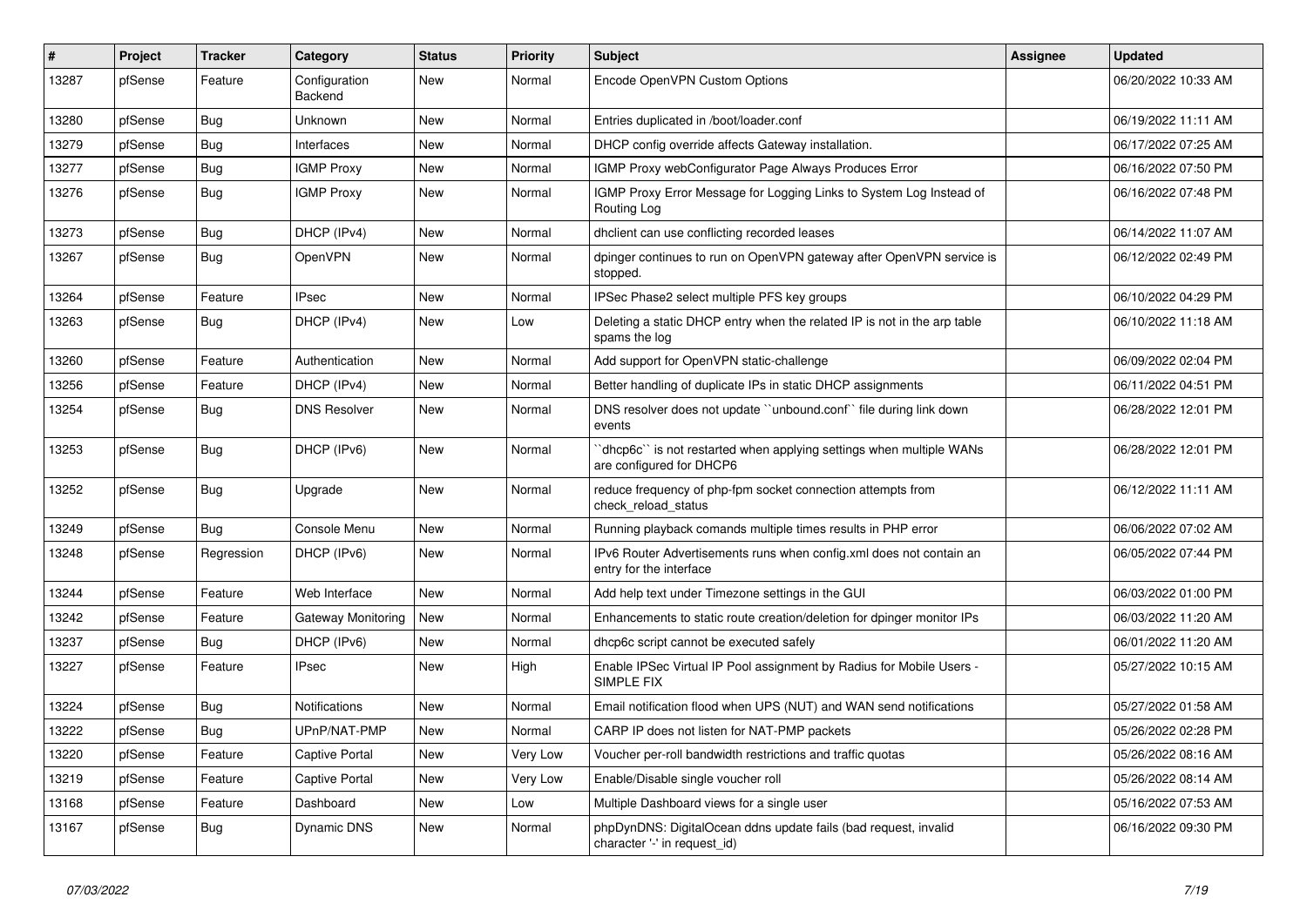| $\#$  | Project | <b>Tracker</b> | Category                 | <b>Status</b> | Priority | <b>Subject</b>                                                                                  | <b>Assignee</b> | <b>Updated</b>      |
|-------|---------|----------------|--------------------------|---------------|----------|-------------------------------------------------------------------------------------------------|-----------------|---------------------|
| 13287 | pfSense | Feature        | Configuration<br>Backend | New           | Normal   | Encode OpenVPN Custom Options                                                                   |                 | 06/20/2022 10:33 AM |
| 13280 | pfSense | Bug            | Unknown                  | <b>New</b>    | Normal   | Entries duplicated in /boot/loader.conf                                                         |                 | 06/19/2022 11:11 AM |
| 13279 | pfSense | Bug            | Interfaces               | <b>New</b>    | Normal   | DHCP config override affects Gateway installation.                                              |                 | 06/17/2022 07:25 AM |
| 13277 | pfSense | Bug            | <b>IGMP Proxy</b>        | New           | Normal   | IGMP Proxy webConfigurator Page Always Produces Error                                           |                 | 06/16/2022 07:50 PM |
| 13276 | pfSense | <b>Bug</b>     | <b>IGMP Proxy</b>        | New           | Normal   | IGMP Proxy Error Message for Logging Links to System Log Instead of<br>Routing Log              |                 | 06/16/2022 07:48 PM |
| 13273 | pfSense | <b>Bug</b>     | DHCP (IPv4)              | <b>New</b>    | Normal   | dhclient can use conflicting recorded leases                                                    |                 | 06/14/2022 11:07 AM |
| 13267 | pfSense | <b>Bug</b>     | OpenVPN                  | <b>New</b>    | Normal   | dpinger continues to run on OpenVPN gateway after OpenVPN service is<br>stopped.                |                 | 06/12/2022 02:49 PM |
| 13264 | pfSense | Feature        | <b>IPsec</b>             | New           | Normal   | IPSec Phase2 select multiple PFS key groups                                                     |                 | 06/10/2022 04:29 PM |
| 13263 | pfSense | <b>Bug</b>     | DHCP (IPv4)              | New           | Low      | Deleting a static DHCP entry when the related IP is not in the arp table<br>spams the log       |                 | 06/10/2022 11:18 AM |
| 13260 | pfSense | Feature        | Authentication           | <b>New</b>    | Normal   | Add support for OpenVPN static-challenge                                                        |                 | 06/09/2022 02:04 PM |
| 13256 | pfSense | Feature        | DHCP (IPv4)              | New           | Normal   | Better handling of duplicate IPs in static DHCP assignments                                     |                 | 06/11/2022 04:51 PM |
| 13254 | pfSense | Bug            | <b>DNS Resolver</b>      | <b>New</b>    | Normal   | DNS resolver does not update "unbound.conf" file during link down<br>events                     |                 | 06/28/2022 12:01 PM |
| 13253 | pfSense | Bug            | DHCP (IPv6)              | <b>New</b>    | Normal   | dhcp6c" is not restarted when applying settings when multiple WANs<br>are configured for DHCP6  |                 | 06/28/2022 12:01 PM |
| 13252 | pfSense | Bug            | Upgrade                  | New           | Normal   | reduce frequency of php-fpm socket connection attempts from<br>check reload status              |                 | 06/12/2022 11:11 AM |
| 13249 | pfSense | Bug            | Console Menu             | New           | Normal   | Running playback comands multiple times results in PHP error                                    |                 | 06/06/2022 07:02 AM |
| 13248 | pfSense | Regression     | DHCP (IPv6)              | New           | Normal   | IPv6 Router Advertisements runs when config.xml does not contain an<br>entry for the interface  |                 | 06/05/2022 07:44 PM |
| 13244 | pfSense | Feature        | Web Interface            | <b>New</b>    | Normal   | Add help text under Timezone settings in the GUI                                                |                 | 06/03/2022 01:00 PM |
| 13242 | pfSense | Feature        | Gateway Monitoring       | <b>New</b>    | Normal   | Enhancements to static route creation/deletion for dpinger monitor IPs                          |                 | 06/03/2022 11:20 AM |
| 13237 | pfSense | Bug            | DHCP (IPv6)              | <b>New</b>    | Normal   | dhcp6c script cannot be executed safely                                                         |                 | 06/01/2022 11:20 AM |
| 13227 | pfSense | Feature        | <b>IPsec</b>             | New           | High     | Enable IPSec Virtual IP Pool assignment by Radius for Mobile Users -<br>SIMPLE FIX              |                 | 05/27/2022 10:15 AM |
| 13224 | pfSense | <b>Bug</b>     | Notifications            | New           | Normal   | Email notification flood when UPS (NUT) and WAN send notifications                              |                 | 05/27/2022 01:58 AM |
| 13222 | pfSense | <b>Bug</b>     | UPnP/NAT-PMP             | New           | Normal   | CARP IP does not listen for NAT-PMP packets                                                     |                 | 05/26/2022 02:28 PM |
| 13220 | pfSense | Feature        | <b>Captive Portal</b>    | New           | Very Low | Voucher per-roll bandwidth restrictions and traffic quotas                                      |                 | 05/26/2022 08:16 AM |
| 13219 | pfSense | Feature        | Captive Portal           | New           | Very Low | Enable/Disable single voucher roll                                                              |                 | 05/26/2022 08:14 AM |
| 13168 | pfSense | Feature        | Dashboard                | New           | Low      | Multiple Dashboard views for a single user                                                      |                 | 05/16/2022 07:53 AM |
| 13167 | pfSense | <b>Bug</b>     | Dynamic DNS              | New           | Normal   | phpDynDNS: DigitalOcean ddns update fails (bad request, invalid<br>character '-' in request_id) |                 | 06/16/2022 09:30 PM |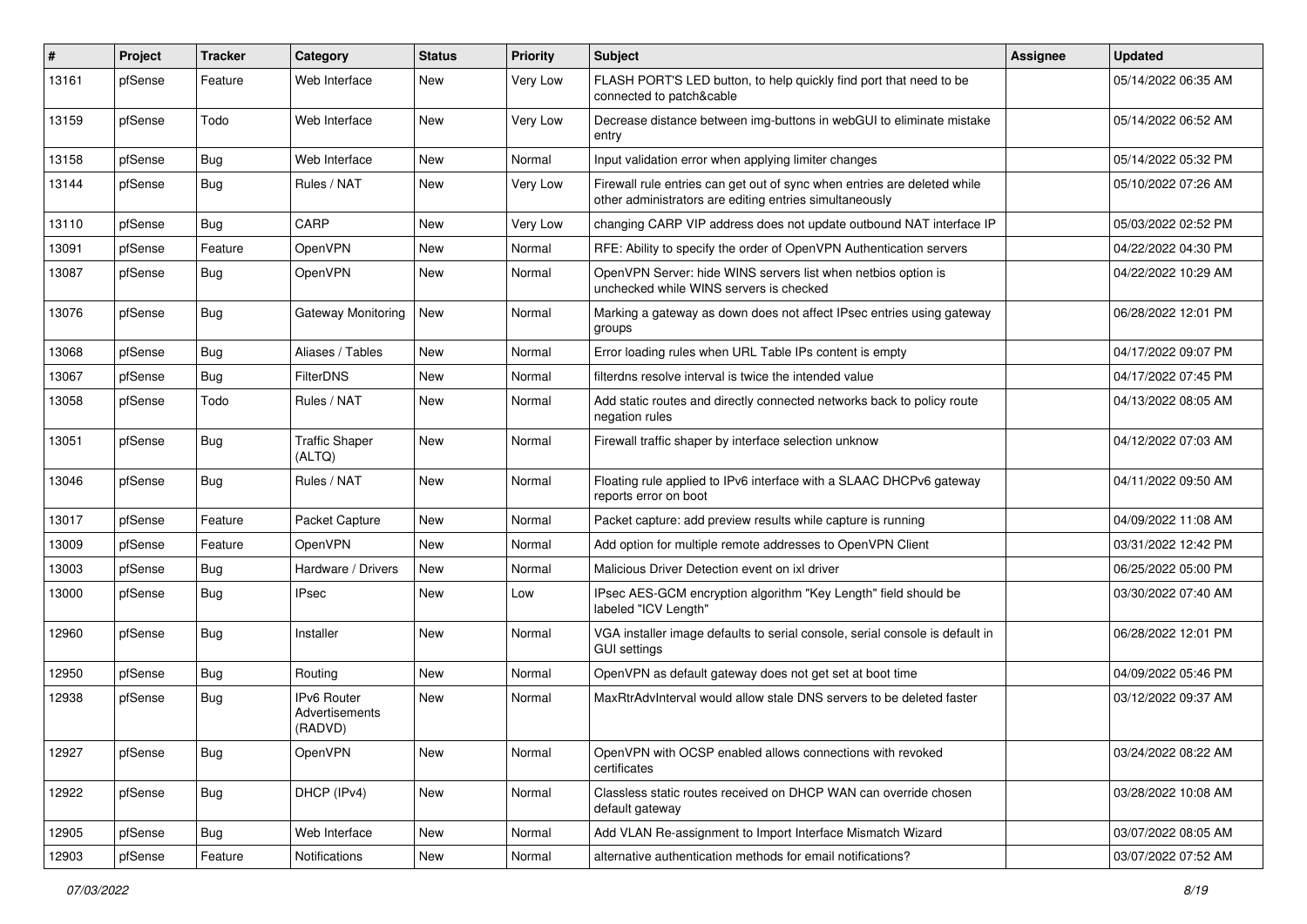| #     | Project | <b>Tracker</b> | Category                                 | <b>Status</b> | <b>Priority</b> | <b>Subject</b>                                                                                                                      | <b>Assignee</b> | <b>Updated</b>      |
|-------|---------|----------------|------------------------------------------|---------------|-----------------|-------------------------------------------------------------------------------------------------------------------------------------|-----------------|---------------------|
| 13161 | pfSense | Feature        | Web Interface                            | <b>New</b>    | Very Low        | FLASH PORT'S LED button, to help quickly find port that need to be<br>connected to patch&cable                                      |                 | 05/14/2022 06:35 AM |
| 13159 | pfSense | Todo           | Web Interface                            | <b>New</b>    | Very Low        | Decrease distance between img-buttons in webGUI to eliminate mistake<br>entry                                                       |                 | 05/14/2022 06:52 AM |
| 13158 | pfSense | <b>Bug</b>     | Web Interface                            | <b>New</b>    | Normal          | Input validation error when applying limiter changes                                                                                |                 | 05/14/2022 05:32 PM |
| 13144 | pfSense | Bug            | Rules / NAT                              | <b>New</b>    | Very Low        | Firewall rule entries can get out of sync when entries are deleted while<br>other administrators are editing entries simultaneously |                 | 05/10/2022 07:26 AM |
| 13110 | pfSense | Bug            | CARP                                     | <b>New</b>    | Very Low        | changing CARP VIP address does not update outbound NAT interface IP                                                                 |                 | 05/03/2022 02:52 PM |
| 13091 | pfSense | Feature        | OpenVPN                                  | New           | Normal          | RFE: Ability to specify the order of OpenVPN Authentication servers                                                                 |                 | 04/22/2022 04:30 PM |
| 13087 | pfSense | Bug            | OpenVPN                                  | <b>New</b>    | Normal          | OpenVPN Server: hide WINS servers list when netbios option is<br>unchecked while WINS servers is checked                            |                 | 04/22/2022 10:29 AM |
| 13076 | pfSense | Bug            | Gateway Monitoring                       | <b>New</b>    | Normal          | Marking a gateway as down does not affect IPsec entries using gateway<br>groups                                                     |                 | 06/28/2022 12:01 PM |
| 13068 | pfSense | Bug            | Aliases / Tables                         | <b>New</b>    | Normal          | Error loading rules when URL Table IPs content is empty                                                                             |                 | 04/17/2022 09:07 PM |
| 13067 | pfSense | <b>Bug</b>     | <b>FilterDNS</b>                         | <b>New</b>    | Normal          | filterdns resolve interval is twice the intended value                                                                              |                 | 04/17/2022 07:45 PM |
| 13058 | pfSense | Todo           | Rules / NAT                              | <b>New</b>    | Normal          | Add static routes and directly connected networks back to policy route<br>negation rules                                            |                 | 04/13/2022 08:05 AM |
| 13051 | pfSense | Bug            | <b>Traffic Shaper</b><br>(ALTQ)          | <b>New</b>    | Normal          | Firewall traffic shaper by interface selection unknow                                                                               |                 | 04/12/2022 07:03 AM |
| 13046 | pfSense | Bug            | Rules / NAT                              | <b>New</b>    | Normal          | Floating rule applied to IPv6 interface with a SLAAC DHCPv6 gateway<br>reports error on boot                                        |                 | 04/11/2022 09:50 AM |
| 13017 | pfSense | Feature        | Packet Capture                           | <b>New</b>    | Normal          | Packet capture: add preview results while capture is running                                                                        |                 | 04/09/2022 11:08 AM |
| 13009 | pfSense | Feature        | OpenVPN                                  | <b>New</b>    | Normal          | Add option for multiple remote addresses to OpenVPN Client                                                                          |                 | 03/31/2022 12:42 PM |
| 13003 | pfSense | Bug            | Hardware / Drivers                       | <b>New</b>    | Normal          | Malicious Driver Detection event on ixl driver                                                                                      |                 | 06/25/2022 05:00 PM |
| 13000 | pfSense | <b>Bug</b>     | <b>IPsec</b>                             | New           | Low             | IPsec AES-GCM encryption algorithm "Key Length" field should be<br>labeled "ICV Length"                                             |                 | 03/30/2022 07:40 AM |
| 12960 | pfSense | <b>Bug</b>     | Installer                                | New           | Normal          | VGA installer image defaults to serial console, serial console is default in<br><b>GUI settings</b>                                 |                 | 06/28/2022 12:01 PM |
| 12950 | pfSense | Bug            | Routing                                  | <b>New</b>    | Normal          | OpenVPN as default gateway does not get set at boot time                                                                            |                 | 04/09/2022 05:46 PM |
| 12938 | pfSense | Bug            | IPv6 Router<br>Advertisements<br>(RADVD) | <b>New</b>    | Normal          | MaxRtrAdvInterval would allow stale DNS servers to be deleted faster                                                                |                 | 03/12/2022 09:37 AM |
| 12927 | pfSense | Bug            | OpenVPN                                  | New           | Normal          | OpenVPN with OCSP enabled allows connections with revoked<br>certificates                                                           |                 | 03/24/2022 08:22 AM |
| 12922 | pfSense | <b>Bug</b>     | DHCP (IPv4)                              | New           | Normal          | Classless static routes received on DHCP WAN can override chosen<br>default gateway                                                 |                 | 03/28/2022 10:08 AM |
| 12905 | pfSense | <b>Bug</b>     | Web Interface                            | New           | Normal          | Add VLAN Re-assignment to Import Interface Mismatch Wizard                                                                          |                 | 03/07/2022 08:05 AM |
| 12903 | pfSense | Feature        | Notifications                            | New           | Normal          | alternative authentication methods for email notifications?                                                                         |                 | 03/07/2022 07:52 AM |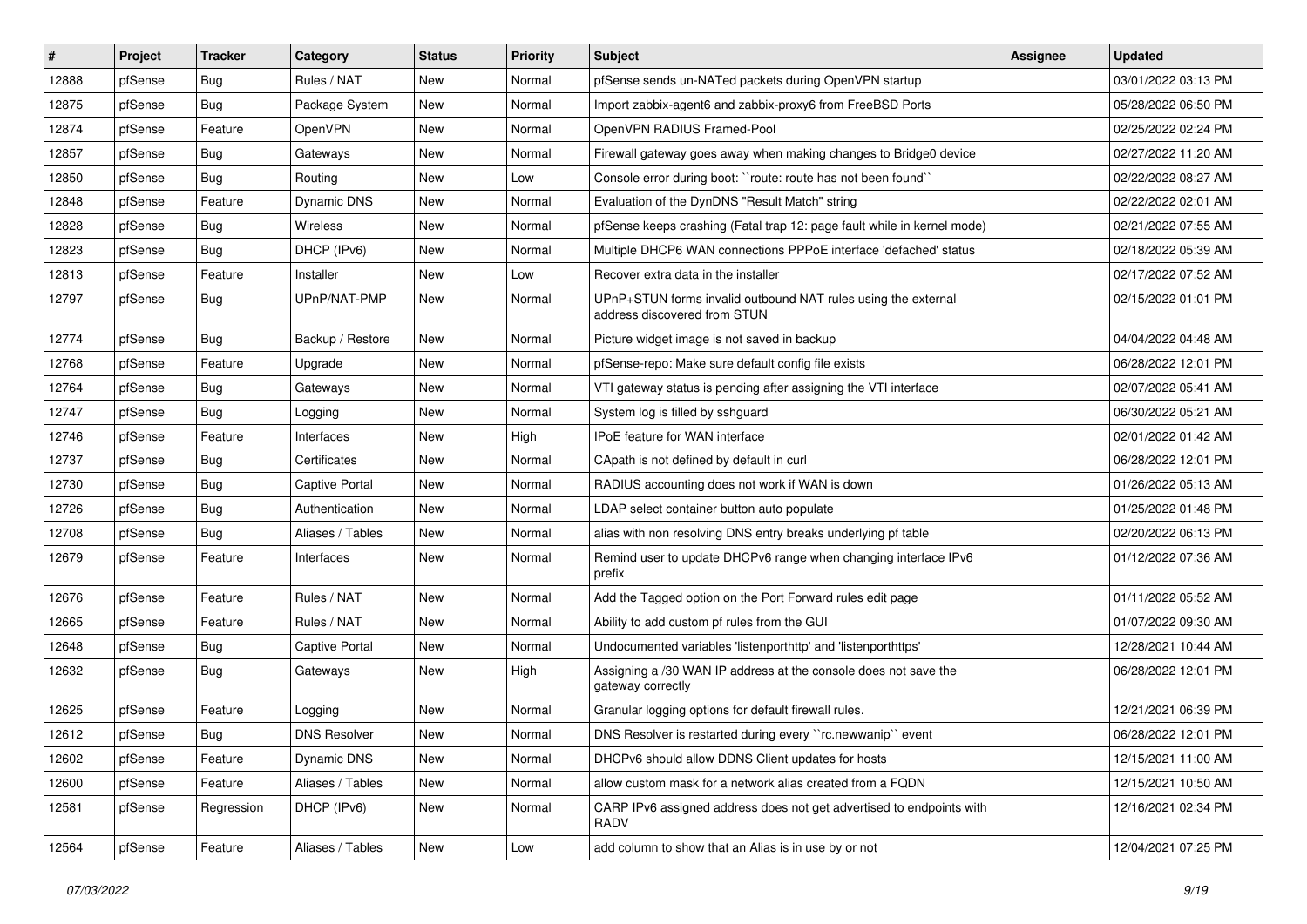| #     | Project | <b>Tracker</b> | Category              | <b>Status</b> | <b>Priority</b> | <b>Subject</b>                                                                                | Assignee | <b>Updated</b>      |
|-------|---------|----------------|-----------------------|---------------|-----------------|-----------------------------------------------------------------------------------------------|----------|---------------------|
| 12888 | pfSense | <b>Bug</b>     | Rules / NAT           | New           | Normal          | pfSense sends un-NATed packets during OpenVPN startup                                         |          | 03/01/2022 03:13 PM |
| 12875 | pfSense | Bug            | Package System        | New           | Normal          | Import zabbix-agent6 and zabbix-proxy6 from FreeBSD Ports                                     |          | 05/28/2022 06:50 PM |
| 12874 | pfSense | Feature        | OpenVPN               | New           | Normal          | OpenVPN RADIUS Framed-Pool                                                                    |          | 02/25/2022 02:24 PM |
| 12857 | pfSense | Bug            | Gateways              | New           | Normal          | Firewall gateway goes away when making changes to Bridge0 device                              |          | 02/27/2022 11:20 AM |
| 12850 | pfSense | Bug            | Routing               | New           | Low             | Console error during boot: "route: route has not been found"                                  |          | 02/22/2022 08:27 AM |
| 12848 | pfSense | Feature        | Dynamic DNS           | New           | Normal          | Evaluation of the DynDNS "Result Match" string                                                |          | 02/22/2022 02:01 AM |
| 12828 | pfSense | <b>Bug</b>     | Wireless              | New           | Normal          | pfSense keeps crashing (Fatal trap 12: page fault while in kernel mode)                       |          | 02/21/2022 07:55 AM |
| 12823 | pfSense | Bug            | DHCP (IPv6)           | New           | Normal          | Multiple DHCP6 WAN connections PPPoE interface 'defached' status                              |          | 02/18/2022 05:39 AM |
| 12813 | pfSense | Feature        | Installer             | New           | Low             | Recover extra data in the installer                                                           |          | 02/17/2022 07:52 AM |
| 12797 | pfSense | <b>Bug</b>     | UPnP/NAT-PMP          | New           | Normal          | UPnP+STUN forms invalid outbound NAT rules using the external<br>address discovered from STUN |          | 02/15/2022 01:01 PM |
| 12774 | pfSense | Bug            | Backup / Restore      | <b>New</b>    | Normal          | Picture widget image is not saved in backup                                                   |          | 04/04/2022 04:48 AM |
| 12768 | pfSense | Feature        | Upgrade               | <b>New</b>    | Normal          | pfSense-repo: Make sure default config file exists                                            |          | 06/28/2022 12:01 PM |
| 12764 | pfSense | Bug            | Gateways              | New           | Normal          | VTI gateway status is pending after assigning the VTI interface                               |          | 02/07/2022 05:41 AM |
| 12747 | pfSense | <b>Bug</b>     | Logging               | New           | Normal          | System log is filled by sshguard                                                              |          | 06/30/2022 05:21 AM |
| 12746 | pfSense | Feature        | Interfaces            | New           | High            | IPoE feature for WAN interface                                                                |          | 02/01/2022 01:42 AM |
| 12737 | pfSense | Bug            | Certificates          | New           | Normal          | CApath is not defined by default in curl                                                      |          | 06/28/2022 12:01 PM |
| 12730 | pfSense | Bug            | <b>Captive Portal</b> | New           | Normal          | RADIUS accounting does not work if WAN is down                                                |          | 01/26/2022 05:13 AM |
| 12726 | pfSense | Bug            | Authentication        | New           | Normal          | LDAP select container button auto populate                                                    |          | 01/25/2022 01:48 PM |
| 12708 | pfSense | <b>Bug</b>     | Aliases / Tables      | New           | Normal          | alias with non resolving DNS entry breaks underlying pf table                                 |          | 02/20/2022 06:13 PM |
| 12679 | pfSense | Feature        | Interfaces            | <b>New</b>    | Normal          | Remind user to update DHCPv6 range when changing interface IPv6<br>prefix                     |          | 01/12/2022 07:36 AM |
| 12676 | pfSense | Feature        | Rules / NAT           | New           | Normal          | Add the Tagged option on the Port Forward rules edit page                                     |          | 01/11/2022 05:52 AM |
| 12665 | pfSense | Feature        | Rules / NAT           | New           | Normal          | Ability to add custom pf rules from the GUI                                                   |          | 01/07/2022 09:30 AM |
| 12648 | pfSense | <b>Bug</b>     | <b>Captive Portal</b> | New           | Normal          | Undocumented variables 'listenporthttp' and 'listenporthttps'                                 |          | 12/28/2021 10:44 AM |
| 12632 | pfSense | <b>Bug</b>     | Gateways              | New           | High            | Assigning a /30 WAN IP address at the console does not save the<br>gateway correctly          |          | 06/28/2022 12:01 PM |
| 12625 | pfSense | Feature        | Logging               | New           | Normal          | Granular logging options for default firewall rules.                                          |          | 12/21/2021 06:39 PM |
| 12612 | pfSense | Bug            | <b>DNS Resolver</b>   | New           | Normal          | DNS Resolver is restarted during every "rc.newwanip" event                                    |          | 06/28/2022 12:01 PM |
| 12602 | pfSense | Feature        | Dynamic DNS           | New           | Normal          | DHCPv6 should allow DDNS Client updates for hosts                                             |          | 12/15/2021 11:00 AM |
| 12600 | pfSense | Feature        | Aliases / Tables      | New           | Normal          | allow custom mask for a network alias created from a FQDN                                     |          | 12/15/2021 10:50 AM |
| 12581 | pfSense | Regression     | DHCP (IPv6)           | New           | Normal          | CARP IPv6 assigned address does not get advertised to endpoints with<br>RADV                  |          | 12/16/2021 02:34 PM |
| 12564 | pfSense | Feature        | Aliases / Tables      | New           | Low             | add column to show that an Alias is in use by or not                                          |          | 12/04/2021 07:25 PM |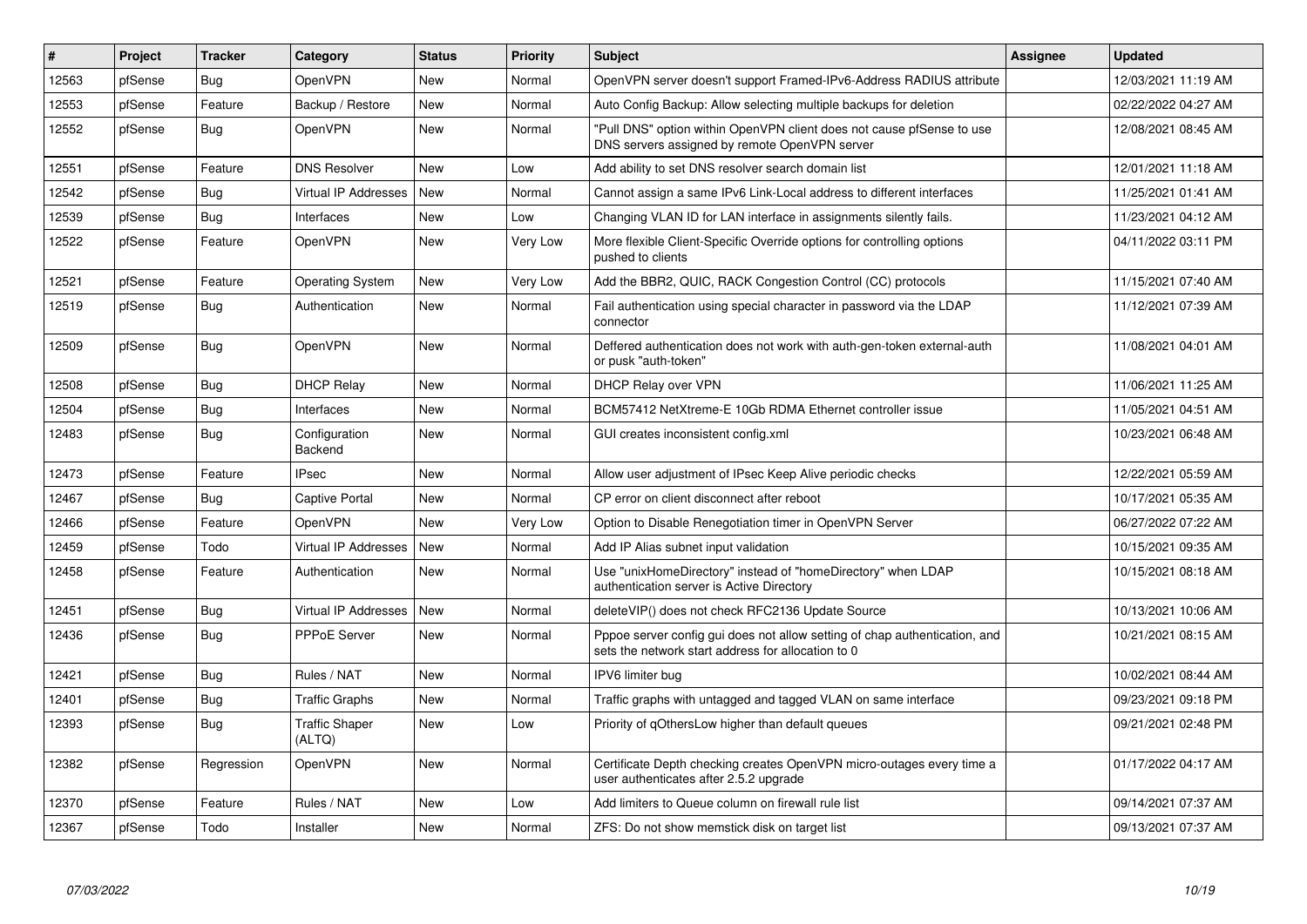| #     | Project | <b>Tracker</b> | Category                        | <b>Status</b> | <b>Priority</b> | <b>Subject</b>                                                                                                                   | Assignee | <b>Updated</b>      |
|-------|---------|----------------|---------------------------------|---------------|-----------------|----------------------------------------------------------------------------------------------------------------------------------|----------|---------------------|
| 12563 | pfSense | Bug            | OpenVPN                         | <b>New</b>    | Normal          | OpenVPN server doesn't support Framed-IPv6-Address RADIUS attribute                                                              |          | 12/03/2021 11:19 AM |
| 12553 | pfSense | Feature        | Backup / Restore                | New           | Normal          | Auto Config Backup: Allow selecting multiple backups for deletion                                                                |          | 02/22/2022 04:27 AM |
| 12552 | pfSense | <b>Bug</b>     | OpenVPN                         | New           | Normal          | "Pull DNS" option within OpenVPN client does not cause pfSense to use<br>DNS servers assigned by remote OpenVPN server           |          | 12/08/2021 08:45 AM |
| 12551 | pfSense | Feature        | <b>DNS Resolver</b>             | <b>New</b>    | Low             | Add ability to set DNS resolver search domain list                                                                               |          | 12/01/2021 11:18 AM |
| 12542 | pfSense | Bug            | Virtual IP Addresses            | New           | Normal          | Cannot assign a same IPv6 Link-Local address to different interfaces                                                             |          | 11/25/2021 01:41 AM |
| 12539 | pfSense | <b>Bug</b>     | Interfaces                      | New           | Low             | Changing VLAN ID for LAN interface in assignments silently fails.                                                                |          | 11/23/2021 04:12 AM |
| 12522 | pfSense | Feature        | OpenVPN                         | New           | Very Low        | More flexible Client-Specific Override options for controlling options<br>pushed to clients                                      |          | 04/11/2022 03:11 PM |
| 12521 | pfSense | Feature        | <b>Operating System</b>         | New           | Very Low        | Add the BBR2, QUIC, RACK Congestion Control (CC) protocols                                                                       |          | 11/15/2021 07:40 AM |
| 12519 | pfSense | <b>Bug</b>     | Authentication                  | New           | Normal          | Fail authentication using special character in password via the LDAP<br>connector                                                |          | 11/12/2021 07:39 AM |
| 12509 | pfSense | Bug            | OpenVPN                         | New           | Normal          | Deffered authentication does not work with auth-gen-token external-auth<br>or pusk "auth-token"                                  |          | 11/08/2021 04:01 AM |
| 12508 | pfSense | Bug            | <b>DHCP Relay</b>               | New           | Normal          | <b>DHCP Relay over VPN</b>                                                                                                       |          | 11/06/2021 11:25 AM |
| 12504 | pfSense | <b>Bug</b>     | Interfaces                      | New           | Normal          | BCM57412 NetXtreme-E 10Gb RDMA Ethernet controller issue                                                                         |          | 11/05/2021 04:51 AM |
| 12483 | pfSense | <b>Bug</b>     | Configuration<br>Backend        | New           | Normal          | GUI creates inconsistent config.xml                                                                                              |          | 10/23/2021 06:48 AM |
| 12473 | pfSense | Feature        | <b>IPsec</b>                    | New           | Normal          | Allow user adjustment of IPsec Keep Alive periodic checks                                                                        |          | 12/22/2021 05:59 AM |
| 12467 | pfSense | <b>Bug</b>     | Captive Portal                  | New           | Normal          | CP error on client disconnect after reboot                                                                                       |          | 10/17/2021 05:35 AM |
| 12466 | pfSense | Feature        | OpenVPN                         | New           | Very Low        | Option to Disable Renegotiation timer in OpenVPN Server                                                                          |          | 06/27/2022 07:22 AM |
| 12459 | pfSense | Todo           | <b>Virtual IP Addresses</b>     | New           | Normal          | Add IP Alias subnet input validation                                                                                             |          | 10/15/2021 09:35 AM |
| 12458 | pfSense | Feature        | Authentication                  | New           | Normal          | Use "unixHomeDirectory" instead of "homeDirectory" when LDAP<br>authentication server is Active Directory                        |          | 10/15/2021 08:18 AM |
| 12451 | pfSense | <b>Bug</b>     | <b>Virtual IP Addresses</b>     | New           | Normal          | deleteVIP() does not check RFC2136 Update Source                                                                                 |          | 10/13/2021 10:06 AM |
| 12436 | pfSense | <b>Bug</b>     | PPPoE Server                    | New           | Normal          | Pppoe server config gui does not allow setting of chap authentication, and<br>sets the network start address for allocation to 0 |          | 10/21/2021 08:15 AM |
| 12421 | pfSense | Bug            | Rules / NAT                     | New           | Normal          | IPV6 limiter bug                                                                                                                 |          | 10/02/2021 08:44 AM |
| 12401 | pfSense | Bug            | <b>Traffic Graphs</b>           | <b>New</b>    | Normal          | Traffic graphs with untagged and tagged VLAN on same interface                                                                   |          | 09/23/2021 09:18 PM |
| 12393 | pfSense | <b>Bug</b>     | <b>Traffic Shaper</b><br>(ALTQ) | New           | Low             | Priority of gOthersLow higher than default queues                                                                                |          | 09/21/2021 02:48 PM |
| 12382 | pfSense | Regression     | OpenVPN                         | New           | Normal          | Certificate Depth checking creates OpenVPN micro-outages every time a<br>user authenticates after 2.5.2 upgrade                  |          | 01/17/2022 04:17 AM |
| 12370 | pfSense | Feature        | Rules / NAT                     | New           | Low             | Add limiters to Queue column on firewall rule list                                                                               |          | 09/14/2021 07:37 AM |
| 12367 | pfSense | Todo           | Installer                       | New           | Normal          | ZFS: Do not show memstick disk on target list                                                                                    |          | 09/13/2021 07:37 AM |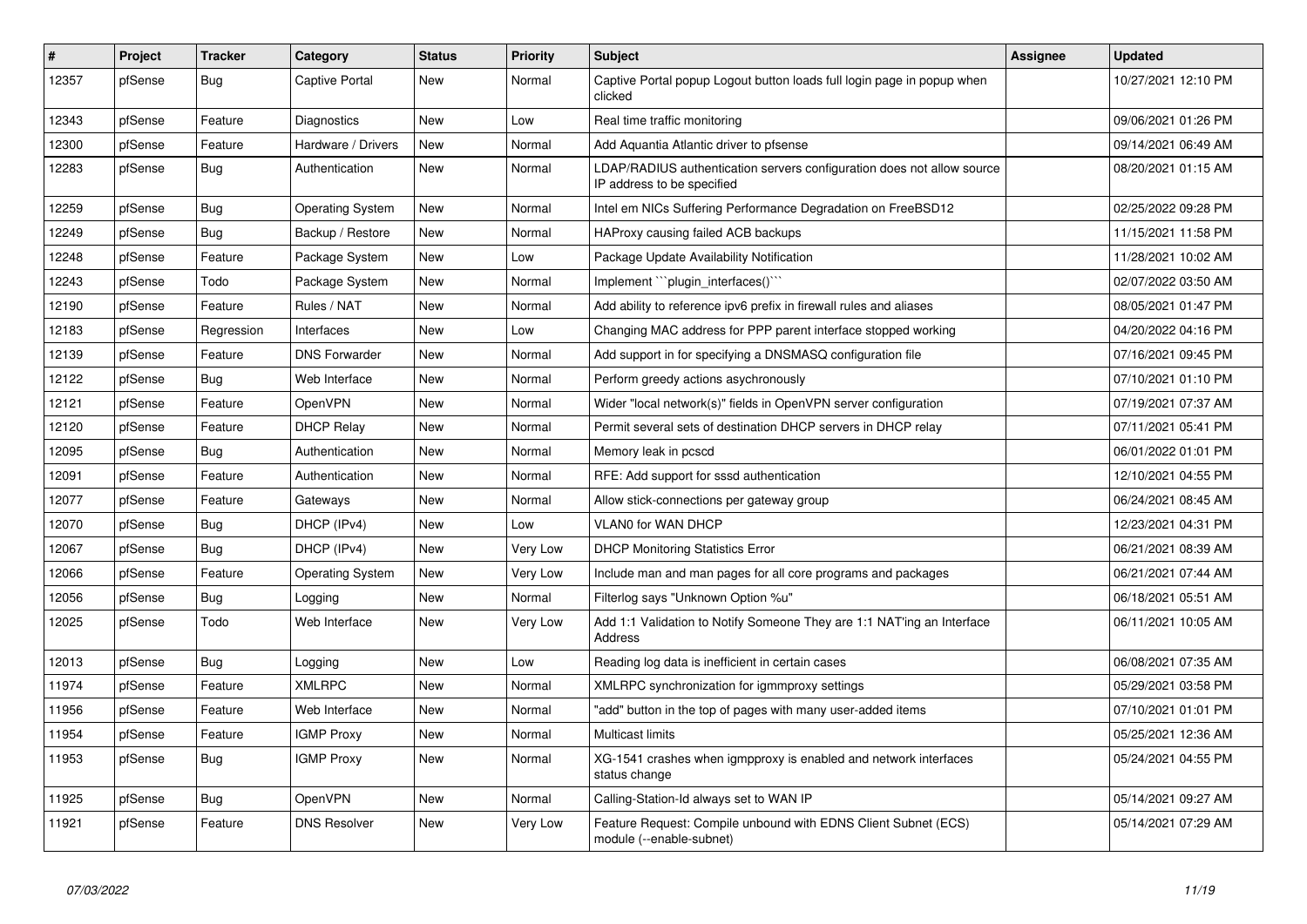| ∥ #   | Project | <b>Tracker</b> | Category                | <b>Status</b> | <b>Priority</b> | <b>Subject</b>                                                                                       | Assignee | <b>Updated</b>      |
|-------|---------|----------------|-------------------------|---------------|-----------------|------------------------------------------------------------------------------------------------------|----------|---------------------|
| 12357 | pfSense | <b>Bug</b>     | Captive Portal          | New           | Normal          | Captive Portal popup Logout button loads full login page in popup when<br>clicked                    |          | 10/27/2021 12:10 PM |
| 12343 | pfSense | Feature        | Diagnostics             | <b>New</b>    | Low             | Real time traffic monitoring                                                                         |          | 09/06/2021 01:26 PM |
| 12300 | pfSense | Feature        | Hardware / Drivers      | New           | Normal          | Add Aquantia Atlantic driver to pfsense                                                              |          | 09/14/2021 06:49 AM |
| 12283 | pfSense | Bug            | Authentication          | New           | Normal          | LDAP/RADIUS authentication servers configuration does not allow source<br>IP address to be specified |          | 08/20/2021 01:15 AM |
| 12259 | pfSense | <b>Bug</b>     | <b>Operating System</b> | New           | Normal          | Intel em NICs Suffering Performance Degradation on FreeBSD12                                         |          | 02/25/2022 09:28 PM |
| 12249 | pfSense | Bug            | Backup / Restore        | New           | Normal          | HAProxy causing failed ACB backups                                                                   |          | 11/15/2021 11:58 PM |
| 12248 | pfSense | Feature        | Package System          | <b>New</b>    | Low             | Package Update Availability Notification                                                             |          | 11/28/2021 10:02 AM |
| 12243 | pfSense | Todo           | Package System          | New           | Normal          | Implement "`plugin_interfaces()`"                                                                    |          | 02/07/2022 03:50 AM |
| 12190 | pfSense | Feature        | Rules / NAT             | New           | Normal          | Add ability to reference ipv6 prefix in firewall rules and aliases                                   |          | 08/05/2021 01:47 PM |
| 12183 | pfSense | Regression     | Interfaces              | <b>New</b>    | Low             | Changing MAC address for PPP parent interface stopped working                                        |          | 04/20/2022 04:16 PM |
| 12139 | pfSense | Feature        | <b>DNS Forwarder</b>    | <b>New</b>    | Normal          | Add support in for specifying a DNSMASQ configuration file                                           |          | 07/16/2021 09:45 PM |
| 12122 | pfSense | Bug            | Web Interface           | New           | Normal          | Perform greedy actions asychronously                                                                 |          | 07/10/2021 01:10 PM |
| 12121 | pfSense | Feature        | OpenVPN                 | <b>New</b>    | Normal          | Wider "local network(s)" fields in OpenVPN server configuration                                      |          | 07/19/2021 07:37 AM |
| 12120 | pfSense | Feature        | <b>DHCP Relay</b>       | New           | Normal          | Permit several sets of destination DHCP servers in DHCP relay                                        |          | 07/11/2021 05:41 PM |
| 12095 | pfSense | <b>Bug</b>     | Authentication          | <b>New</b>    | Normal          | Memory leak in pcscd                                                                                 |          | 06/01/2022 01:01 PM |
| 12091 | pfSense | Feature        | Authentication          | <b>New</b>    | Normal          | RFE: Add support for sssd authentication                                                             |          | 12/10/2021 04:55 PM |
| 12077 | pfSense | Feature        | Gateways                | <b>New</b>    | Normal          | Allow stick-connections per gateway group                                                            |          | 06/24/2021 08:45 AM |
| 12070 | pfSense | Bug            | DHCP (IPv4)             | New           | Low             | <b>VLAN0 for WAN DHCP</b>                                                                            |          | 12/23/2021 04:31 PM |
| 12067 | pfSense | <b>Bug</b>     | DHCP (IPv4)             | New           | Very Low        | <b>DHCP Monitoring Statistics Error</b>                                                              |          | 06/21/2021 08:39 AM |
| 12066 | pfSense | Feature        | <b>Operating System</b> | <b>New</b>    | Very Low        | Include man and man pages for all core programs and packages                                         |          | 06/21/2021 07:44 AM |
| 12056 | pfSense | Bug            | Logging                 | <b>New</b>    | Normal          | Filterlog says "Unknown Option %u"                                                                   |          | 06/18/2021 05:51 AM |
| 12025 | pfSense | Todo           | Web Interface           | New           | Very Low        | Add 1:1 Validation to Notify Someone They are 1:1 NAT'ing an Interface<br>Address                    |          | 06/11/2021 10:05 AM |
| 12013 | pfSense | <b>Bug</b>     | Logging                 | <b>New</b>    | Low             | Reading log data is inefficient in certain cases                                                     |          | 06/08/2021 07:35 AM |
| 11974 | pfSense | Feature        | <b>XMLRPC</b>           | <b>New</b>    | Normal          | XMLRPC synchronization for igmmproxy settings                                                        |          | 05/29/2021 03:58 PM |
| 11956 | pfSense | Feature        | Web Interface           | <b>New</b>    | Normal          | "add" button in the top of pages with many user-added items                                          |          | 07/10/2021 01:01 PM |
| 11954 | pfSense | Feature        | <b>IGMP Proxy</b>       | <b>New</b>    | Normal          | Multicast limits                                                                                     |          | 05/25/2021 12:36 AM |
| 11953 | pfSense | <b>Bug</b>     | <b>IGMP Proxy</b>       | New           | Normal          | XG-1541 crashes when igmpproxy is enabled and network interfaces<br>status change                    |          | 05/24/2021 04:55 PM |
| 11925 | pfSense | <b>Bug</b>     | OpenVPN                 | <b>New</b>    | Normal          | Calling-Station-Id always set to WAN IP                                                              |          | 05/14/2021 09:27 AM |
| 11921 | pfSense | Feature        | <b>DNS Resolver</b>     | New           | Very Low        | Feature Request: Compile unbound with EDNS Client Subnet (ECS)<br>module (--enable-subnet)           |          | 05/14/2021 07:29 AM |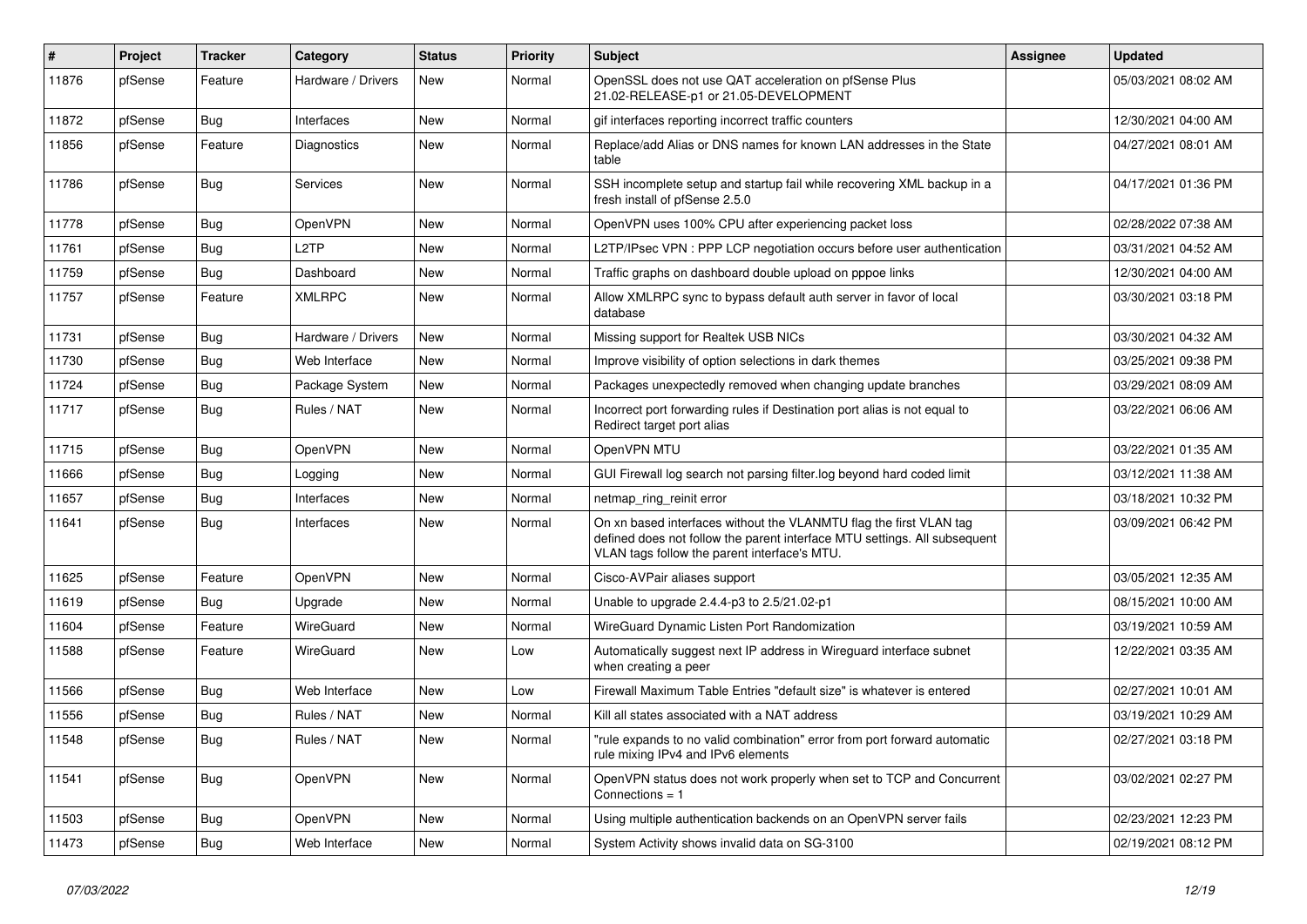| #     | Project | <b>Tracker</b> | Category           | <b>Status</b> | <b>Priority</b> | <b>Subject</b>                                                                                                                                                                                  | Assignee | <b>Updated</b>      |
|-------|---------|----------------|--------------------|---------------|-----------------|-------------------------------------------------------------------------------------------------------------------------------------------------------------------------------------------------|----------|---------------------|
| 11876 | pfSense | Feature        | Hardware / Drivers | New           | Normal          | OpenSSL does not use QAT acceleration on pfSense Plus<br>21.02-RELEASE-p1 or 21.05-DEVELOPMENT                                                                                                  |          | 05/03/2021 08:02 AM |
| 11872 | pfSense | Bug            | Interfaces         | New           | Normal          | gif interfaces reporting incorrect traffic counters                                                                                                                                             |          | 12/30/2021 04:00 AM |
| 11856 | pfSense | Feature        | <b>Diagnostics</b> | New           | Normal          | Replace/add Alias or DNS names for known LAN addresses in the State<br>table                                                                                                                    |          | 04/27/2021 08:01 AM |
| 11786 | pfSense | Bug            | Services           | New           | Normal          | SSH incomplete setup and startup fail while recovering XML backup in a<br>fresh install of pfSense 2.5.0                                                                                        |          | 04/17/2021 01:36 PM |
| 11778 | pfSense | Bug            | OpenVPN            | New           | Normal          | OpenVPN uses 100% CPU after experiencing packet loss                                                                                                                                            |          | 02/28/2022 07:38 AM |
| 11761 | pfSense | Bug            | L2TP               | <b>New</b>    | Normal          | L2TP/IPsec VPN: PPP LCP negotiation occurs before user authentication                                                                                                                           |          | 03/31/2021 04:52 AM |
| 11759 | pfSense | <b>Bug</b>     | Dashboard          | New           | Normal          | Traffic graphs on dashboard double upload on pppoe links                                                                                                                                        |          | 12/30/2021 04:00 AM |
| 11757 | pfSense | Feature        | <b>XMLRPC</b>      | New           | Normal          | Allow XMLRPC sync to bypass default auth server in favor of local<br>database                                                                                                                   |          | 03/30/2021 03:18 PM |
| 11731 | pfSense | Bug            | Hardware / Drivers | New           | Normal          | Missing support for Realtek USB NICs                                                                                                                                                            |          | 03/30/2021 04:32 AM |
| 11730 | pfSense | <b>Bug</b>     | Web Interface      | New           | Normal          | Improve visibility of option selections in dark themes                                                                                                                                          |          | 03/25/2021 09:38 PM |
| 11724 | pfSense | Bug            | Package System     | New           | Normal          | Packages unexpectedly removed when changing update branches                                                                                                                                     |          | 03/29/2021 08:09 AM |
| 11717 | pfSense | Bug            | Rules / NAT        | New           | Normal          | Incorrect port forwarding rules if Destination port alias is not equal to<br>Redirect target port alias                                                                                         |          | 03/22/2021 06:06 AM |
| 11715 | pfSense | Bug            | OpenVPN            | New           | Normal          | OpenVPN MTU                                                                                                                                                                                     |          | 03/22/2021 01:35 AM |
| 11666 | pfSense | Bug            | Logging            | New           | Normal          | GUI Firewall log search not parsing filter.log beyond hard coded limit                                                                                                                          |          | 03/12/2021 11:38 AM |
| 11657 | pfSense | <b>Bug</b>     | Interfaces         | New           | Normal          | netmap_ring_reinit error                                                                                                                                                                        |          | 03/18/2021 10:32 PM |
| 11641 | pfSense | <b>Bug</b>     | Interfaces         | New           | Normal          | On xn based interfaces without the VLANMTU flag the first VLAN tag<br>defined does not follow the parent interface MTU settings. All subsequent<br>VLAN tags follow the parent interface's MTU. |          | 03/09/2021 06:42 PM |
| 11625 | pfSense | Feature        | OpenVPN            | New           | Normal          | Cisco-AVPair aliases support                                                                                                                                                                    |          | 03/05/2021 12:35 AM |
| 11619 | pfSense | Bug            | Upgrade            | <b>New</b>    | Normal          | Unable to upgrade 2.4.4-p3 to 2.5/21.02-p1                                                                                                                                                      |          | 08/15/2021 10:00 AM |
| 11604 | pfSense | Feature        | WireGuard          | New           | Normal          | WireGuard Dynamic Listen Port Randomization                                                                                                                                                     |          | 03/19/2021 10:59 AM |
| 11588 | pfSense | Feature        | WireGuard          | New           | Low             | Automatically suggest next IP address in Wireguard interface subnet<br>when creating a peer                                                                                                     |          | 12/22/2021 03:35 AM |
| 11566 | pfSense | Bug            | Web Interface      | <b>New</b>    | Low             | Firewall Maximum Table Entries "default size" is whatever is entered                                                                                                                            |          | 02/27/2021 10:01 AM |
| 11556 | pfSense | <b>Bug</b>     | Rules / NAT        | New           | Normal          | Kill all states associated with a NAT address                                                                                                                                                   |          | 03/19/2021 10:29 AM |
| 11548 | pfSense | <b>Bug</b>     | Rules / NAT        | New           | Normal          | "rule expands to no valid combination" error from port forward automatic<br>rule mixing IPv4 and IPv6 elements                                                                                  |          | 02/27/2021 03:18 PM |
| 11541 | pfSense | <b>Bug</b>     | OpenVPN            | New           | Normal          | OpenVPN status does not work properly when set to TCP and Concurrent<br>Connections = $1$                                                                                                       |          | 03/02/2021 02:27 PM |
| 11503 | pfSense | <b>Bug</b>     | OpenVPN            | New           | Normal          | Using multiple authentication backends on an OpenVPN server fails                                                                                                                               |          | 02/23/2021 12:23 PM |
| 11473 | pfSense | Bug            | Web Interface      | New           | Normal          | System Activity shows invalid data on SG-3100                                                                                                                                                   |          | 02/19/2021 08:12 PM |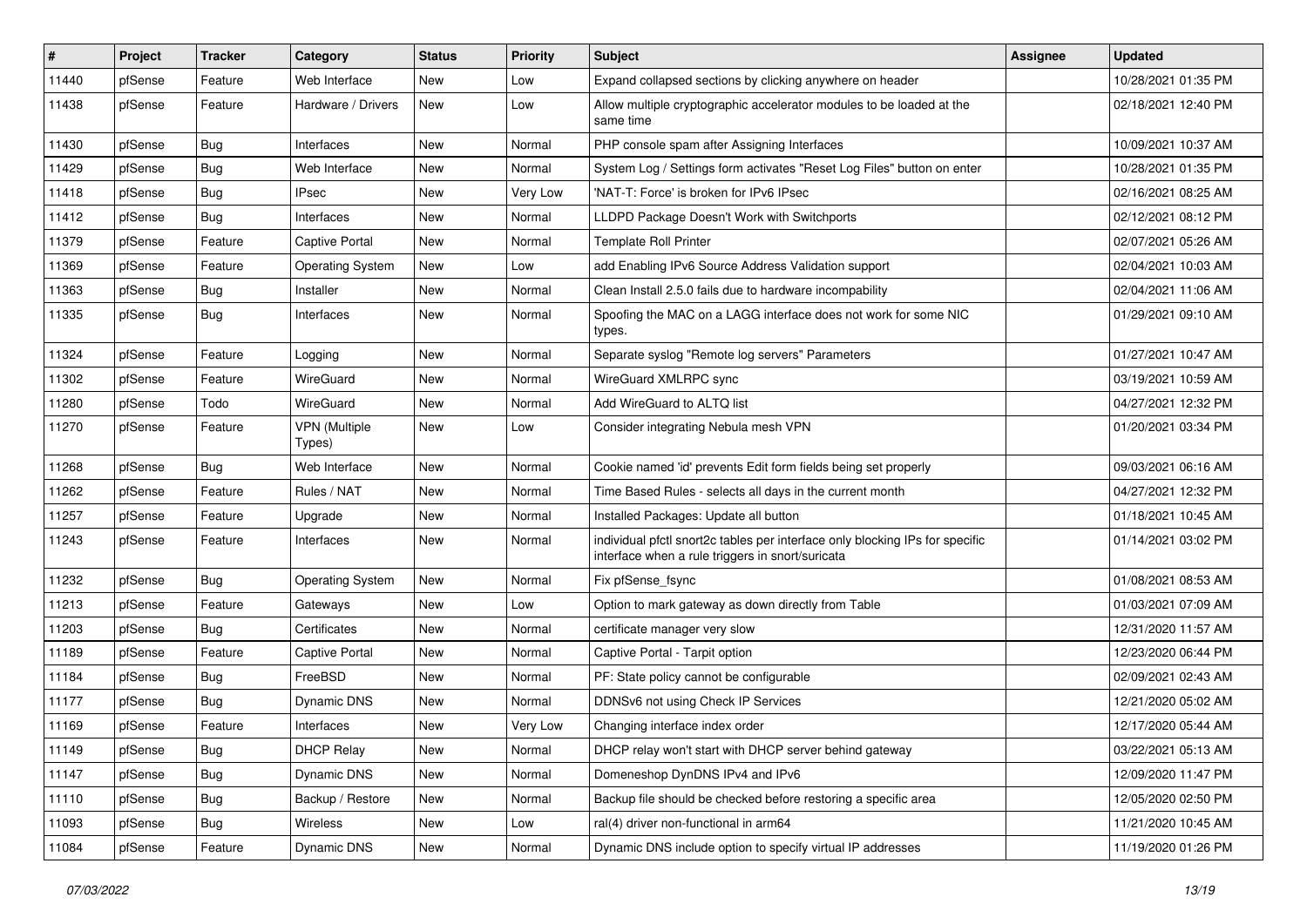| $\vert$ # | Project | <b>Tracker</b> | Category                       | <b>Status</b> | <b>Priority</b> | <b>Subject</b>                                                                                                                   | <b>Assignee</b> | <b>Updated</b>      |
|-----------|---------|----------------|--------------------------------|---------------|-----------------|----------------------------------------------------------------------------------------------------------------------------------|-----------------|---------------------|
| 11440     | pfSense | Feature        | Web Interface                  | New           | Low             | Expand collapsed sections by clicking anywhere on header                                                                         |                 | 10/28/2021 01:35 PM |
| 11438     | pfSense | Feature        | Hardware / Drivers             | New           | Low             | Allow multiple cryptographic accelerator modules to be loaded at the<br>same time                                                |                 | 02/18/2021 12:40 PM |
| 11430     | pfSense | <b>Bug</b>     | Interfaces                     | New           | Normal          | PHP console spam after Assigning Interfaces                                                                                      |                 | 10/09/2021 10:37 AM |
| 11429     | pfSense | Bug            | Web Interface                  | New           | Normal          | System Log / Settings form activates "Reset Log Files" button on enter                                                           |                 | 10/28/2021 01:35 PM |
| 11418     | pfSense | <b>Bug</b>     | <b>IPsec</b>                   | New           | Very Low        | 'NAT-T: Force' is broken for IPv6 IPsec                                                                                          |                 | 02/16/2021 08:25 AM |
| 11412     | pfSense | <b>Bug</b>     | Interfaces                     | New           | Normal          | LLDPD Package Doesn't Work with Switchports                                                                                      |                 | 02/12/2021 08:12 PM |
| 11379     | pfSense | Feature        | Captive Portal                 | New           | Normal          | <b>Template Roll Printer</b>                                                                                                     |                 | 02/07/2021 05:26 AM |
| 11369     | pfSense | Feature        | <b>Operating System</b>        | New           | Low             | add Enabling IPv6 Source Address Validation support                                                                              |                 | 02/04/2021 10:03 AM |
| 11363     | pfSense | <b>Bug</b>     | Installer                      | <b>New</b>    | Normal          | Clean Install 2.5.0 fails due to hardware incompability                                                                          |                 | 02/04/2021 11:06 AM |
| 11335     | pfSense | <b>Bug</b>     | Interfaces                     | New           | Normal          | Spoofing the MAC on a LAGG interface does not work for some NIC<br>types.                                                        |                 | 01/29/2021 09:10 AM |
| 11324     | pfSense | Feature        | Logging                        | New           | Normal          | Separate syslog "Remote log servers" Parameters                                                                                  |                 | 01/27/2021 10:47 AM |
| 11302     | pfSense | Feature        | WireGuard                      | New           | Normal          | WireGuard XMLRPC sync                                                                                                            |                 | 03/19/2021 10:59 AM |
| 11280     | pfSense | Todo           | WireGuard                      | New           | Normal          | Add WireGuard to ALTQ list                                                                                                       |                 | 04/27/2021 12:32 PM |
| 11270     | pfSense | Feature        | <b>VPN</b> (Multiple<br>Types) | New           | Low             | Consider integrating Nebula mesh VPN                                                                                             |                 | 01/20/2021 03:34 PM |
| 11268     | pfSense | Bug            | Web Interface                  | <b>New</b>    | Normal          | Cookie named 'id' prevents Edit form fields being set properly                                                                   |                 | 09/03/2021 06:16 AM |
| 11262     | pfSense | Feature        | Rules / NAT                    | New           | Normal          | Time Based Rules - selects all days in the current month                                                                         |                 | 04/27/2021 12:32 PM |
| 11257     | pfSense | Feature        | Upgrade                        | New           | Normal          | Installed Packages: Update all button                                                                                            |                 | 01/18/2021 10:45 AM |
| 11243     | pfSense | Feature        | Interfaces                     | New           | Normal          | individual pfctl snort2c tables per interface only blocking IPs for specific<br>interface when a rule triggers in snort/suricata |                 | 01/14/2021 03:02 PM |
| 11232     | pfSense | Bug            | <b>Operating System</b>        | New           | Normal          | Fix pfSense fsync                                                                                                                |                 | 01/08/2021 08:53 AM |
| 11213     | pfSense | Feature        | Gateways                       | New           | Low             | Option to mark gateway as down directly from Table                                                                               |                 | 01/03/2021 07:09 AM |
| 11203     | pfSense | <b>Bug</b>     | Certificates                   | New           | Normal          | certificate manager very slow                                                                                                    |                 | 12/31/2020 11:57 AM |
| 11189     | pfSense | Feature        | <b>Captive Portal</b>          | New           | Normal          | Captive Portal - Tarpit option                                                                                                   |                 | 12/23/2020 06:44 PM |
| 11184     | pfSense | <b>Bug</b>     | FreeBSD                        | New           | Normal          | PF: State policy cannot be configurable                                                                                          |                 | 02/09/2021 02:43 AM |
| 11177     | pfSense | <b>Bug</b>     | Dynamic DNS                    | New           | Normal          | DDNSv6 not using Check IP Services                                                                                               |                 | 12/21/2020 05:02 AM |
| 11169     | pfSense | Feature        | Interfaces                     | New           | Very Low        | Changing interface index order                                                                                                   |                 | 12/17/2020 05:44 AM |
| 11149     | pfSense | <b>Bug</b>     | <b>DHCP Relay</b>              | New           | Normal          | DHCP relay won't start with DHCP server behind gateway                                                                           |                 | 03/22/2021 05:13 AM |
| 11147     | pfSense | <b>Bug</b>     | Dynamic DNS                    | New           | Normal          | Domeneshop DynDNS IPv4 and IPv6                                                                                                  |                 | 12/09/2020 11:47 PM |
| 11110     | pfSense | <b>Bug</b>     | Backup / Restore               | New           | Normal          | Backup file should be checked before restoring a specific area                                                                   |                 | 12/05/2020 02:50 PM |
| 11093     | pfSense | <b>Bug</b>     | Wireless                       | New           | Low             | ral(4) driver non-functional in arm64                                                                                            |                 | 11/21/2020 10:45 AM |
| 11084     | pfSense | Feature        | Dynamic DNS                    | New           | Normal          | Dynamic DNS include option to specify virtual IP addresses                                                                       |                 | 11/19/2020 01:26 PM |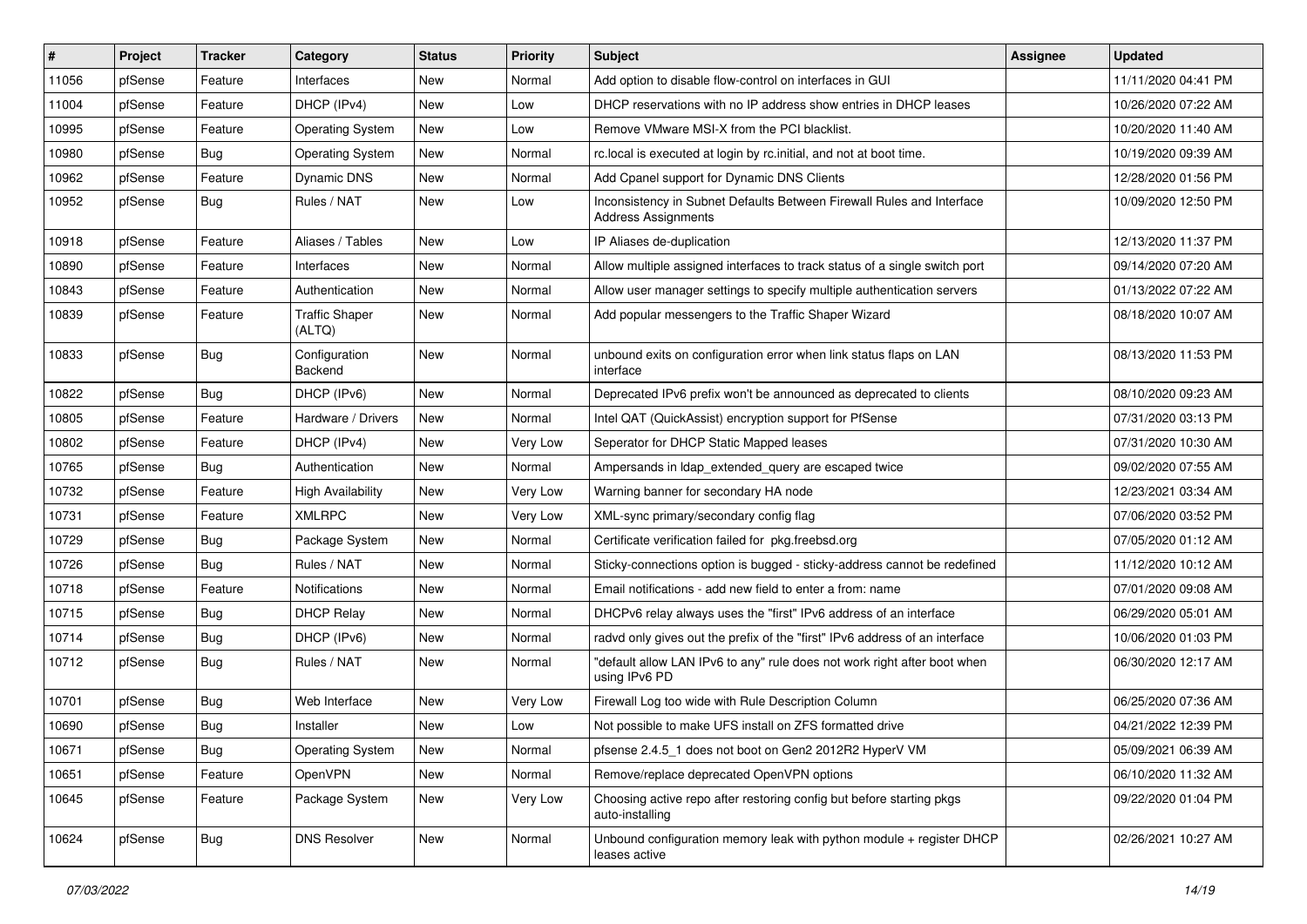| #     | Project | <b>Tracker</b> | Category                        | <b>Status</b> | <b>Priority</b> | <b>Subject</b>                                                                                      | <b>Assignee</b> | <b>Updated</b>      |
|-------|---------|----------------|---------------------------------|---------------|-----------------|-----------------------------------------------------------------------------------------------------|-----------------|---------------------|
| 11056 | pfSense | Feature        | Interfaces                      | <b>New</b>    | Normal          | Add option to disable flow-control on interfaces in GUI                                             |                 | 11/11/2020 04:41 PM |
| 11004 | pfSense | Feature        | DHCP (IPv4)                     | New           | Low             | DHCP reservations with no IP address show entries in DHCP leases                                    |                 | 10/26/2020 07:22 AM |
| 10995 | pfSense | Feature        | <b>Operating System</b>         | New           | Low             | Remove VMware MSI-X from the PCI blacklist.                                                         |                 | 10/20/2020 11:40 AM |
| 10980 | pfSense | <b>Bug</b>     | <b>Operating System</b>         | New           | Normal          | rc.local is executed at login by rc.initial, and not at boot time.                                  |                 | 10/19/2020 09:39 AM |
| 10962 | pfSense | Feature        | Dynamic DNS                     | New           | Normal          | Add Cpanel support for Dynamic DNS Clients                                                          |                 | 12/28/2020 01:56 PM |
| 10952 | pfSense | <b>Bug</b>     | Rules / NAT                     | New           | Low             | Inconsistency in Subnet Defaults Between Firewall Rules and Interface<br><b>Address Assignments</b> |                 | 10/09/2020 12:50 PM |
| 10918 | pfSense | Feature        | Aliases / Tables                | <b>New</b>    | Low             | IP Aliases de-duplication                                                                           |                 | 12/13/2020 11:37 PM |
| 10890 | pfSense | Feature        | Interfaces                      | New           | Normal          | Allow multiple assigned interfaces to track status of a single switch port                          |                 | 09/14/2020 07:20 AM |
| 10843 | pfSense | Feature        | Authentication                  | New           | Normal          | Allow user manager settings to specify multiple authentication servers                              |                 | 01/13/2022 07:22 AM |
| 10839 | pfSense | Feature        | <b>Traffic Shaper</b><br>(ALTQ) | New           | Normal          | Add popular messengers to the Traffic Shaper Wizard                                                 |                 | 08/18/2020 10:07 AM |
| 10833 | pfSense | Bug            | Configuration<br>Backend        | New           | Normal          | unbound exits on configuration error when link status flaps on LAN<br>interface                     |                 | 08/13/2020 11:53 PM |
| 10822 | pfSense | Bug            | DHCP (IPv6)                     | <b>New</b>    | Normal          | Deprecated IPv6 prefix won't be announced as deprecated to clients                                  |                 | 08/10/2020 09:23 AM |
| 10805 | pfSense | Feature        | Hardware / Drivers              | New           | Normal          | Intel QAT (QuickAssist) encryption support for PfSense                                              |                 | 07/31/2020 03:13 PM |
| 10802 | pfSense | Feature        | DHCP (IPv4)                     | New           | Very Low        | Seperator for DHCP Static Mapped leases                                                             |                 | 07/31/2020 10:30 AM |
| 10765 | pfSense | <b>Bug</b>     | Authentication                  | <b>New</b>    | Normal          | Ampersands in Idap extended query are escaped twice                                                 |                 | 09/02/2020 07:55 AM |
| 10732 | pfSense | Feature        | <b>High Availability</b>        | New           | Very Low        | Warning banner for secondary HA node                                                                |                 | 12/23/2021 03:34 AM |
| 10731 | pfSense | Feature        | <b>XMLRPC</b>                   | <b>New</b>    | Very Low        | XML-sync primary/secondary config flag                                                              |                 | 07/06/2020 03:52 PM |
| 10729 | pfSense | Bug            | Package System                  | <b>New</b>    | Normal          | Certificate verification failed for pkg.freebsd.org                                                 |                 | 07/05/2020 01:12 AM |
| 10726 | pfSense | <b>Bug</b>     | Rules / NAT                     | <b>New</b>    | Normal          | Sticky-connections option is bugged - sticky-address cannot be redefined                            |                 | 11/12/2020 10:12 AM |
| 10718 | pfSense | Feature        | <b>Notifications</b>            | New           | Normal          | Email notifications - add new field to enter a from: name                                           |                 | 07/01/2020 09:08 AM |
| 10715 | pfSense | <b>Bug</b>     | <b>DHCP Relay</b>               | <b>New</b>    | Normal          | DHCPv6 relay always uses the "first" IPv6 address of an interface                                   |                 | 06/29/2020 05:01 AM |
| 10714 | pfSense | <b>Bug</b>     | DHCP (IPv6)                     | New           | Normal          | radyd only gives out the prefix of the "first" IPv6 address of an interface                         |                 | 10/06/2020 01:03 PM |
| 10712 | pfSense | <b>Bug</b>     | Rules / NAT                     | New           | Normal          | "default allow LAN IPv6 to any" rule does not work right after boot when<br>using IPv6 PD           |                 | 06/30/2020 12:17 AM |
| 10701 | pfSense | <b>Bug</b>     | Web Interface                   | New           | Very Low        | Firewall Log too wide with Rule Description Column                                                  |                 | 06/25/2020 07:36 AM |
| 10690 | pfSense | Bug            | Installer                       | New           | Low             | Not possible to make UFS install on ZFS formatted drive                                             |                 | 04/21/2022 12:39 PM |
| 10671 | pfSense | <b>Bug</b>     | <b>Operating System</b>         | New           | Normal          | pfsense 2.4.5 1 does not boot on Gen2 2012R2 HyperV VM                                              |                 | 05/09/2021 06:39 AM |
| 10651 | pfSense | Feature        | OpenVPN                         | New           | Normal          | Remove/replace deprecated OpenVPN options                                                           |                 | 06/10/2020 11:32 AM |
| 10645 | pfSense | Feature        | Package System                  | New           | Very Low        | Choosing active repo after restoring config but before starting pkgs<br>auto-installing             |                 | 09/22/2020 01:04 PM |
| 10624 | pfSense | <b>Bug</b>     | <b>DNS Resolver</b>             | New           | Normal          | Unbound configuration memory leak with python module + register DHCP<br>leases active               |                 | 02/26/2021 10:27 AM |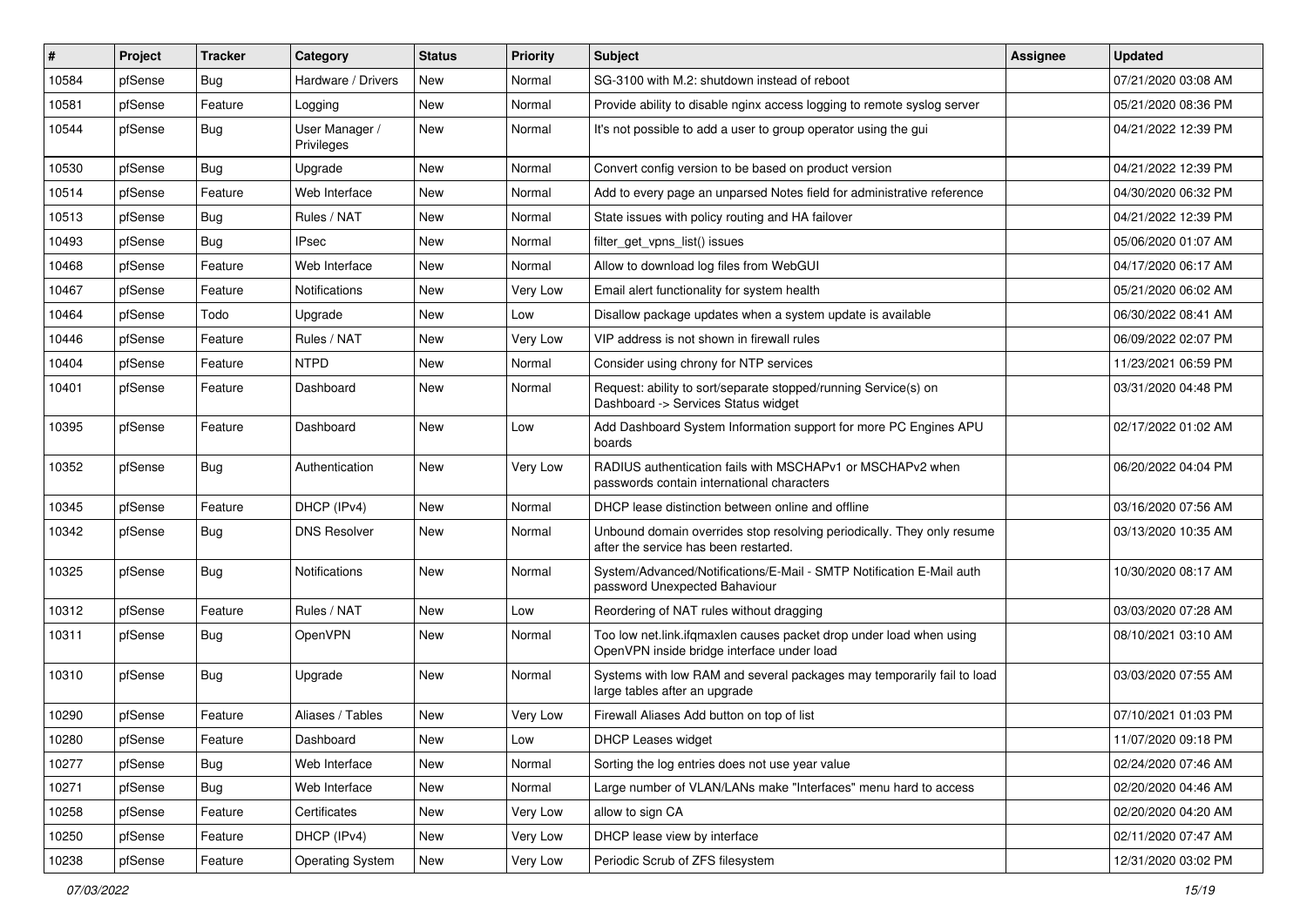| #     | Project | <b>Tracker</b> | Category                     | <b>Status</b> | <b>Priority</b> | <b>Subject</b>                                                                                                    | <b>Assignee</b> | <b>Updated</b>      |
|-------|---------|----------------|------------------------------|---------------|-----------------|-------------------------------------------------------------------------------------------------------------------|-----------------|---------------------|
| 10584 | pfSense | <b>Bug</b>     | Hardware / Drivers           | New           | Normal          | SG-3100 with M.2: shutdown instead of reboot                                                                      |                 | 07/21/2020 03:08 AM |
| 10581 | pfSense | Feature        | Logging                      | New           | Normal          | Provide ability to disable nginx access logging to remote syslog server                                           |                 | 05/21/2020 08:36 PM |
| 10544 | pfSense | Bug            | User Manager /<br>Privileges | New           | Normal          | It's not possible to add a user to group operator using the gui                                                   |                 | 04/21/2022 12:39 PM |
| 10530 | pfSense | Bug            | Upgrade                      | New           | Normal          | Convert config version to be based on product version                                                             |                 | 04/21/2022 12:39 PM |
| 10514 | pfSense | Feature        | Web Interface                | New           | Normal          | Add to every page an unparsed Notes field for administrative reference                                            |                 | 04/30/2020 06:32 PM |
| 10513 | pfSense | Bug            | Rules / NAT                  | New           | Normal          | State issues with policy routing and HA failover                                                                  |                 | 04/21/2022 12:39 PM |
| 10493 | pfSense | Bug            | <b>IPsec</b>                 | New           | Normal          | filter_get_vpns_list() issues                                                                                     |                 | 05/06/2020 01:07 AM |
| 10468 | pfSense | Feature        | Web Interface                | <b>New</b>    | Normal          | Allow to download log files from WebGUI                                                                           |                 | 04/17/2020 06:17 AM |
| 10467 | pfSense | Feature        | <b>Notifications</b>         | New           | Very Low        | Email alert functionality for system health                                                                       |                 | 05/21/2020 06:02 AM |
| 10464 | pfSense | Todo           | Upgrade                      | New           | Low             | Disallow package updates when a system update is available                                                        |                 | 06/30/2022 08:41 AM |
| 10446 | pfSense | Feature        | Rules / NAT                  | New           | Very Low        | VIP address is not shown in firewall rules                                                                        |                 | 06/09/2022 02:07 PM |
| 10404 | pfSense | Feature        | <b>NTPD</b>                  | New           | Normal          | Consider using chrony for NTP services                                                                            |                 | 11/23/2021 06:59 PM |
| 10401 | pfSense | Feature        | Dashboard                    | New           | Normal          | Request: ability to sort/separate stopped/running Service(s) on<br>Dashboard -> Services Status widget            |                 | 03/31/2020 04:48 PM |
| 10395 | pfSense | Feature        | Dashboard                    | New           | Low             | Add Dashboard System Information support for more PC Engines APU<br>boards                                        |                 | 02/17/2022 01:02 AM |
| 10352 | pfSense | <b>Bug</b>     | Authentication               | New           | Very Low        | RADIUS authentication fails with MSCHAPv1 or MSCHAPv2 when<br>passwords contain international characters          |                 | 06/20/2022 04:04 PM |
| 10345 | pfSense | Feature        | DHCP (IPv4)                  | <b>New</b>    | Normal          | DHCP lease distinction between online and offline                                                                 |                 | 03/16/2020 07:56 AM |
| 10342 | pfSense | Bug            | <b>DNS Resolver</b>          | New           | Normal          | Unbound domain overrides stop resolving periodically. They only resume<br>after the service has been restarted.   |                 | 03/13/2020 10:35 AM |
| 10325 | pfSense | Bug            | Notifications                | New           | Normal          | System/Advanced/Notifications/E-Mail - SMTP Notification E-Mail auth<br>password Unexpected Bahaviour             |                 | 10/30/2020 08:17 AM |
| 10312 | pfSense | Feature        | Rules / NAT                  | <b>New</b>    | Low             | Reordering of NAT rules without dragging                                                                          |                 | 03/03/2020 07:28 AM |
| 10311 | pfSense | <b>Bug</b>     | OpenVPN                      | New           | Normal          | Too low net.link.ifqmaxlen causes packet drop under load when using<br>OpenVPN inside bridge interface under load |                 | 08/10/2021 03:10 AM |
| 10310 | pfSense | Bug            | Upgrade                      | New           | Normal          | Systems with low RAM and several packages may temporarily fail to load<br>large tables after an upgrade           |                 | 03/03/2020 07:55 AM |
| 10290 | pfSense | Feature        | Aliases / Tables             | New           | Very Low        | Firewall Aliases Add button on top of list                                                                        |                 | 07/10/2021 01:03 PM |
| 10280 | pfSense | Feature        | Dashboard                    | New           | Low             | DHCP Leases widget                                                                                                |                 | 11/07/2020 09:18 PM |
| 10277 | pfSense | Bug            | Web Interface                | New           | Normal          | Sorting the log entries does not use year value                                                                   |                 | 02/24/2020 07:46 AM |
| 10271 | pfSense | <b>Bug</b>     | Web Interface                | New           | Normal          | Large number of VLAN/LANs make "Interfaces" menu hard to access                                                   |                 | 02/20/2020 04:46 AM |
| 10258 | pfSense | Feature        | Certificates                 | New           | Very Low        | allow to sign CA                                                                                                  |                 | 02/20/2020 04:20 AM |
| 10250 | pfSense | Feature        | DHCP (IPv4)                  | New           | Very Low        | DHCP lease view by interface                                                                                      |                 | 02/11/2020 07:47 AM |
| 10238 | pfSense | Feature        | <b>Operating System</b>      | New           | Very Low        | Periodic Scrub of ZFS filesystem                                                                                  |                 | 12/31/2020 03:02 PM |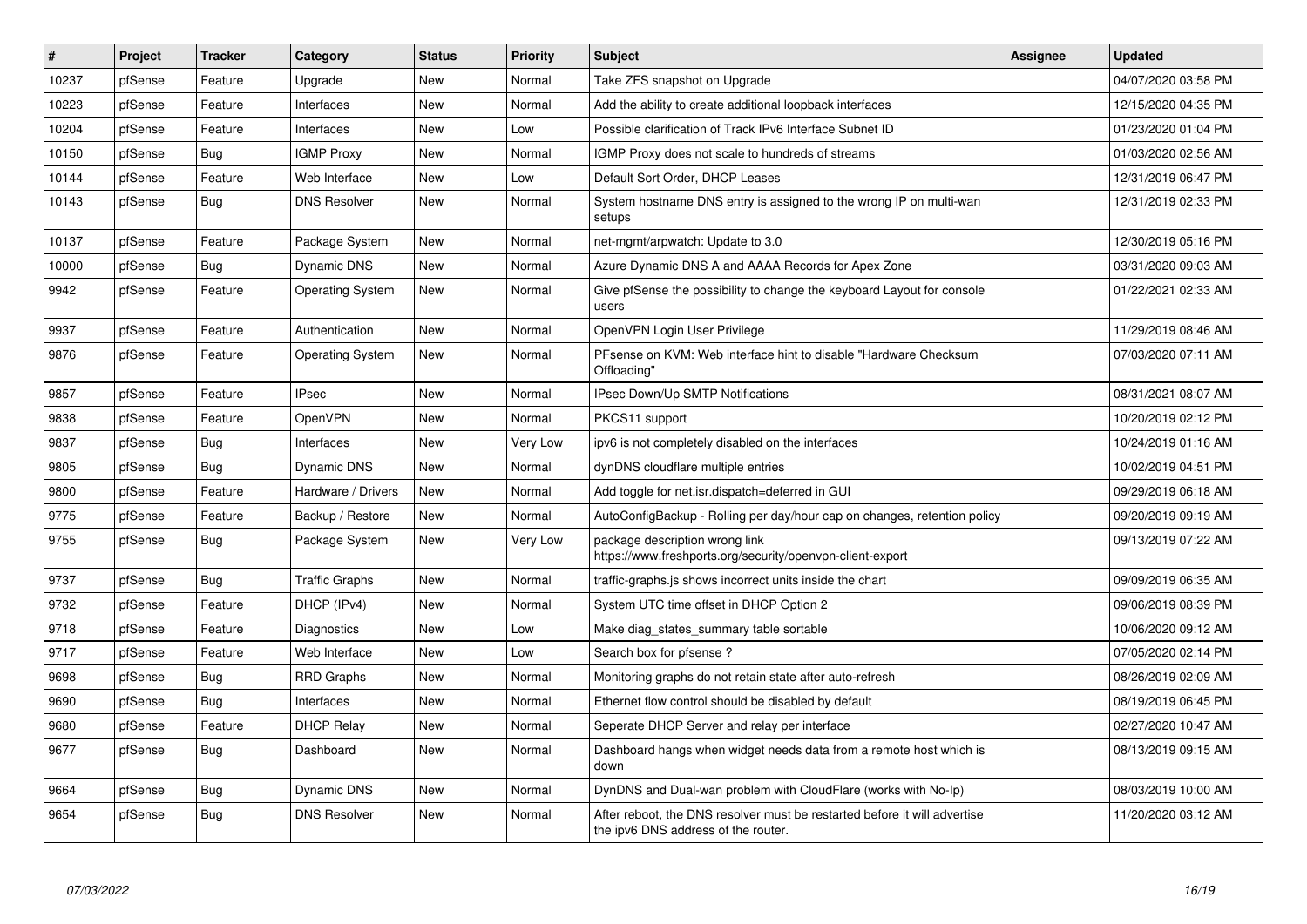| $\vert$ # | Project | <b>Tracker</b> | Category                | <b>Status</b> | <b>Priority</b> | <b>Subject</b>                                                                                                   | Assignee | <b>Updated</b>      |
|-----------|---------|----------------|-------------------------|---------------|-----------------|------------------------------------------------------------------------------------------------------------------|----------|---------------------|
| 10237     | pfSense | Feature        | Upgrade                 | New           | Normal          | Take ZFS snapshot on Upgrade                                                                                     |          | 04/07/2020 03:58 PM |
| 10223     | pfSense | Feature        | Interfaces              | <b>New</b>    | Normal          | Add the ability to create additional loopback interfaces                                                         |          | 12/15/2020 04:35 PM |
| 10204     | pfSense | Feature        | Interfaces              | New           | Low             | Possible clarification of Track IPv6 Interface Subnet ID                                                         |          | 01/23/2020 01:04 PM |
| 10150     | pfSense | Bug            | <b>IGMP Proxy</b>       | New           | Normal          | IGMP Proxy does not scale to hundreds of streams                                                                 |          | 01/03/2020 02:56 AM |
| 10144     | pfSense | Feature        | Web Interface           | New           | Low             | Default Sort Order, DHCP Leases                                                                                  |          | 12/31/2019 06:47 PM |
| 10143     | pfSense | Bug            | <b>DNS Resolver</b>     | New           | Normal          | System hostname DNS entry is assigned to the wrong IP on multi-wan<br>setups                                     |          | 12/31/2019 02:33 PM |
| 10137     | pfSense | Feature        | Package System          | <b>New</b>    | Normal          | net-mgmt/arpwatch: Update to 3.0                                                                                 |          | 12/30/2019 05:16 PM |
| 10000     | pfSense | Bug            | Dynamic DNS             | New           | Normal          | Azure Dynamic DNS A and AAAA Records for Apex Zone                                                               |          | 03/31/2020 09:03 AM |
| 9942      | pfSense | Feature        | <b>Operating System</b> | <b>New</b>    | Normal          | Give pfSense the possibility to change the keyboard Layout for console<br>users                                  |          | 01/22/2021 02:33 AM |
| 9937      | pfSense | Feature        | Authentication          | New           | Normal          | OpenVPN Login User Privilege                                                                                     |          | 11/29/2019 08:46 AM |
| 9876      | pfSense | Feature        | <b>Operating System</b> | <b>New</b>    | Normal          | PFsense on KVM: Web interface hint to disable "Hardware Checksum<br>Offloading"                                  |          | 07/03/2020 07:11 AM |
| 9857      | pfSense | Feature        | <b>IPsec</b>            | <b>New</b>    | Normal          | IPsec Down/Up SMTP Notifications                                                                                 |          | 08/31/2021 08:07 AM |
| 9838      | pfSense | Feature        | <b>OpenVPN</b>          | New           | Normal          | PKCS11 support                                                                                                   |          | 10/20/2019 02:12 PM |
| 9837      | pfSense | Bug            | Interfaces              | <b>New</b>    | Very Low        | ipv6 is not completely disabled on the interfaces                                                                |          | 10/24/2019 01:16 AM |
| 9805      | pfSense | <b>Bug</b>     | Dynamic DNS             | <b>New</b>    | Normal          | dynDNS cloudflare multiple entries                                                                               |          | 10/02/2019 04:51 PM |
| 9800      | pfSense | Feature        | Hardware / Drivers      | New           | Normal          | Add toggle for net.isr.dispatch=deferred in GUI                                                                  |          | 09/29/2019 06:18 AM |
| 9775      | pfSense | Feature        | Backup / Restore        | New           | Normal          | AutoConfigBackup - Rolling per day/hour cap on changes, retention policy                                         |          | 09/20/2019 09:19 AM |
| 9755      | pfSense | <b>Bug</b>     | Package System          | New           | Very Low        | package description wrong link<br>https://www.freshports.org/security/openvpn-client-export                      |          | 09/13/2019 07:22 AM |
| 9737      | pfSense | <b>Bug</b>     | <b>Traffic Graphs</b>   | New           | Normal          | traffic-graphs.js shows incorrect units inside the chart                                                         |          | 09/09/2019 06:35 AM |
| 9732      | pfSense | Feature        | DHCP (IPv4)             | New           | Normal          | System UTC time offset in DHCP Option 2                                                                          |          | 09/06/2019 08:39 PM |
| 9718      | pfSense | Feature        | Diagnostics             | New           | Low             | Make diag_states_summary table sortable                                                                          |          | 10/06/2020 09:12 AM |
| 9717      | pfSense | Feature        | Web Interface           | New           | Low             | Search box for pfsense?                                                                                          |          | 07/05/2020 02:14 PM |
| 9698      | pfSense | <b>Bug</b>     | <b>RRD Graphs</b>       | New           | Normal          | Monitoring graphs do not retain state after auto-refresh                                                         |          | 08/26/2019 02:09 AM |
| 9690      | pfSense | <b>Bug</b>     | Interfaces              | New           | Normal          | Ethernet flow control should be disabled by default                                                              |          | 08/19/2019 06:45 PM |
| 9680      | pfSense | Feature        | <b>DHCP Relay</b>       | New           | Normal          | Seperate DHCP Server and relay per interface                                                                     |          | 02/27/2020 10:47 AM |
| 9677      | pfSense | Bug            | Dashboard               | <b>New</b>    | Normal          | Dashboard hangs when widget needs data from a remote host which is<br>down                                       |          | 08/13/2019 09:15 AM |
| 9664      | pfSense | <b>Bug</b>     | Dynamic DNS             | <b>New</b>    | Normal          | DynDNS and Dual-wan problem with CloudFlare (works with No-Ip)                                                   |          | 08/03/2019 10:00 AM |
| 9654      | pfSense | <b>Bug</b>     | <b>DNS Resolver</b>     | New           | Normal          | After reboot, the DNS resolver must be restarted before it will advertise<br>the ipv6 DNS address of the router. |          | 11/20/2020 03:12 AM |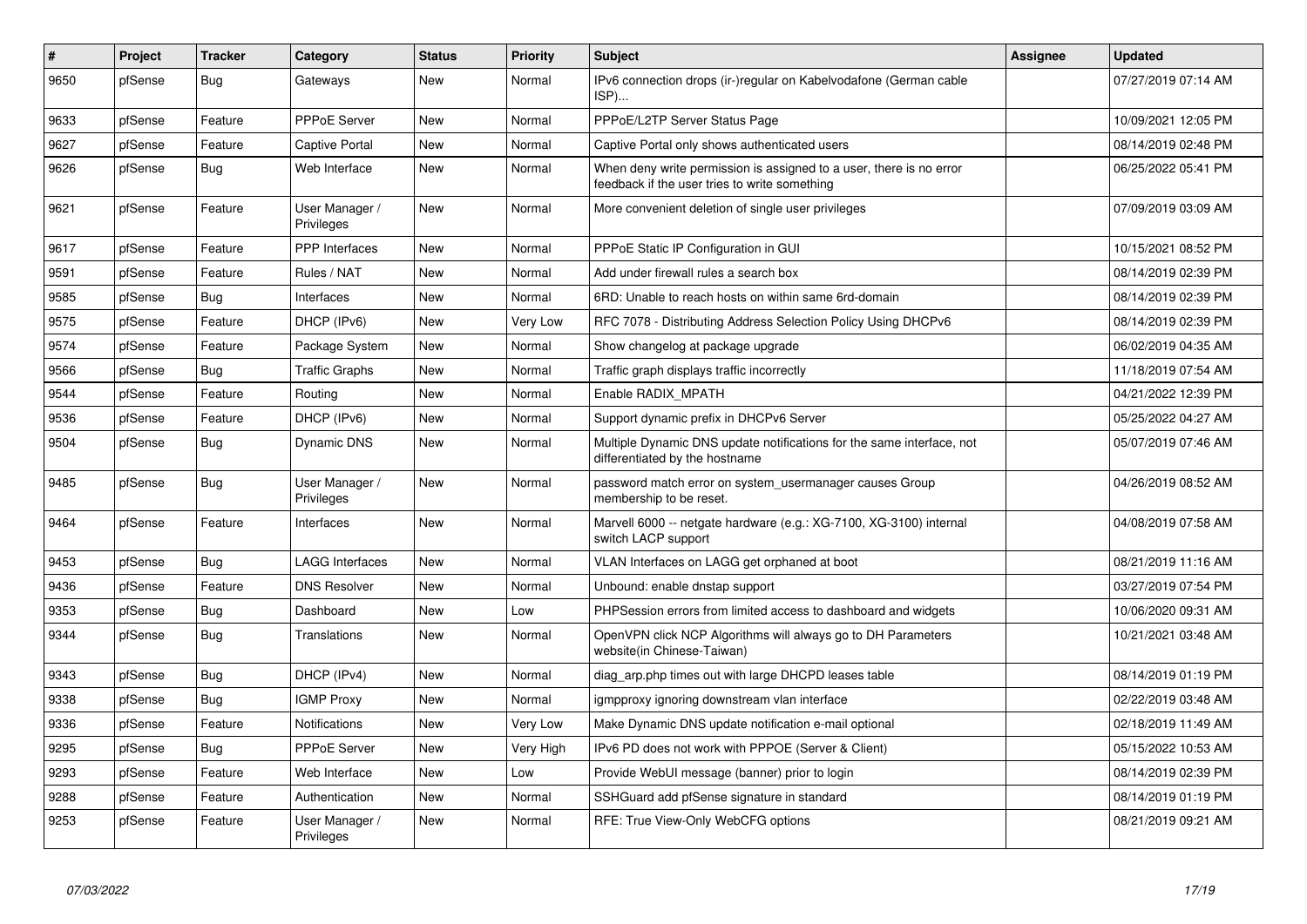| #    | Project | <b>Tracker</b> | Category                     | <b>Status</b> | <b>Priority</b> | <b>Subject</b>                                                                                                       | Assignee | <b>Updated</b>      |
|------|---------|----------------|------------------------------|---------------|-----------------|----------------------------------------------------------------------------------------------------------------------|----------|---------------------|
| 9650 | pfSense | Bug            | Gateways                     | <b>New</b>    | Normal          | IPv6 connection drops (ir-)regular on Kabelvodafone (German cable<br>ISP)                                            |          | 07/27/2019 07:14 AM |
| 9633 | pfSense | Feature        | <b>PPPoE Server</b>          | <b>New</b>    | Normal          | PPPoE/L2TP Server Status Page                                                                                        |          | 10/09/2021 12:05 PM |
| 9627 | pfSense | Feature        | <b>Captive Portal</b>        | New           | Normal          | Captive Portal only shows authenticated users                                                                        |          | 08/14/2019 02:48 PM |
| 9626 | pfSense | <b>Bug</b>     | Web Interface                | New           | Normal          | When deny write permission is assigned to a user, there is no error<br>feedback if the user tries to write something |          | 06/25/2022 05:41 PM |
| 9621 | pfSense | Feature        | User Manager /<br>Privileges | New           | Normal          | More convenient deletion of single user privileges                                                                   |          | 07/09/2019 03:09 AM |
| 9617 | pfSense | Feature        | <b>PPP</b> Interfaces        | <b>New</b>    | Normal          | PPPoE Static IP Configuration in GUI                                                                                 |          | 10/15/2021 08:52 PM |
| 9591 | pfSense | Feature        | Rules / NAT                  | New           | Normal          | Add under firewall rules a search box                                                                                |          | 08/14/2019 02:39 PM |
| 9585 | pfSense | <b>Bug</b>     | Interfaces                   | New           | Normal          | 6RD: Unable to reach hosts on within same 6rd-domain                                                                 |          | 08/14/2019 02:39 PM |
| 9575 | pfSense | Feature        | DHCP (IPv6)                  | <b>New</b>    | Very Low        | RFC 7078 - Distributing Address Selection Policy Using DHCPv6                                                        |          | 08/14/2019 02:39 PM |
| 9574 | pfSense | Feature        | Package System               | New           | Normal          | Show changelog at package upgrade                                                                                    |          | 06/02/2019 04:35 AM |
| 9566 | pfSense | Bug            | <b>Traffic Graphs</b>        | <b>New</b>    | Normal          | Traffic graph displays traffic incorrectly                                                                           |          | 11/18/2019 07:54 AM |
| 9544 | pfSense | Feature        | Routing                      | <b>New</b>    | Normal          | Enable RADIX MPATH                                                                                                   |          | 04/21/2022 12:39 PM |
| 9536 | pfSense | Feature        | DHCP (IPv6)                  | New           | Normal          | Support dynamic prefix in DHCPv6 Server                                                                              |          | 05/25/2022 04:27 AM |
| 9504 | pfSense | <b>Bug</b>     | Dynamic DNS                  | New           | Normal          | Multiple Dynamic DNS update notifications for the same interface, not<br>differentiated by the hostname              |          | 05/07/2019 07:46 AM |
| 9485 | pfSense | Bug            | User Manager /<br>Privileges | New           | Normal          | password match error on system usermanager causes Group<br>membership to be reset.                                   |          | 04/26/2019 08:52 AM |
| 9464 | pfSense | Feature        | Interfaces                   | New           | Normal          | Marvell 6000 -- netgate hardware (e.g.: XG-7100, XG-3100) internal<br>switch LACP support                            |          | 04/08/2019 07:58 AM |
| 9453 | pfSense | Bug            | <b>LAGG Interfaces</b>       | <b>New</b>    | Normal          | VLAN Interfaces on LAGG get orphaned at boot                                                                         |          | 08/21/2019 11:16 AM |
| 9436 | pfSense | Feature        | <b>DNS Resolver</b>          | <b>New</b>    | Normal          | Unbound: enable dnstap support                                                                                       |          | 03/27/2019 07:54 PM |
| 9353 | pfSense | <b>Bug</b>     | Dashboard                    | <b>New</b>    | Low             | PHPSession errors from limited access to dashboard and widgets                                                       |          | 10/06/2020 09:31 AM |
| 9344 | pfSense | <b>Bug</b>     | Translations                 | New           | Normal          | OpenVPN click NCP Algorithms will always go to DH Parameters<br>website(in Chinese-Taiwan)                           |          | 10/21/2021 03:48 AM |
| 9343 | pfSense | Bug            | DHCP (IPv4)                  | <b>New</b>    | Normal          | diag arp.php times out with large DHCPD leases table                                                                 |          | 08/14/2019 01:19 PM |
| 9338 | pfSense | <b>Bug</b>     | <b>IGMP Proxy</b>            | New           | Normal          | igmpproxy ignoring downstream vlan interface                                                                         |          | 02/22/2019 03:48 AM |
| 9336 | pfSense | Feature        | <b>Notifications</b>         | <b>New</b>    | Very Low        | Make Dynamic DNS update notification e-mail optional                                                                 |          | 02/18/2019 11:49 AM |
| 9295 | pfSense | <b>Bug</b>     | <b>PPPoE Server</b>          | <b>New</b>    | Very High       | IPv6 PD does not work with PPPOE (Server & Client)                                                                   |          | 05/15/2022 10:53 AM |
| 9293 | pfSense | Feature        | Web Interface                | <b>New</b>    | Low             | Provide WebUI message (banner) prior to login                                                                        |          | 08/14/2019 02:39 PM |
| 9288 | pfSense | Feature        | Authentication               | New           | Normal          | SSHGuard add pfSense signature in standard                                                                           |          | 08/14/2019 01:19 PM |
| 9253 | pfSense | Feature        | User Manager /<br>Privileges | <b>New</b>    | Normal          | RFE: True View-Only WebCFG options                                                                                   |          | 08/21/2019 09:21 AM |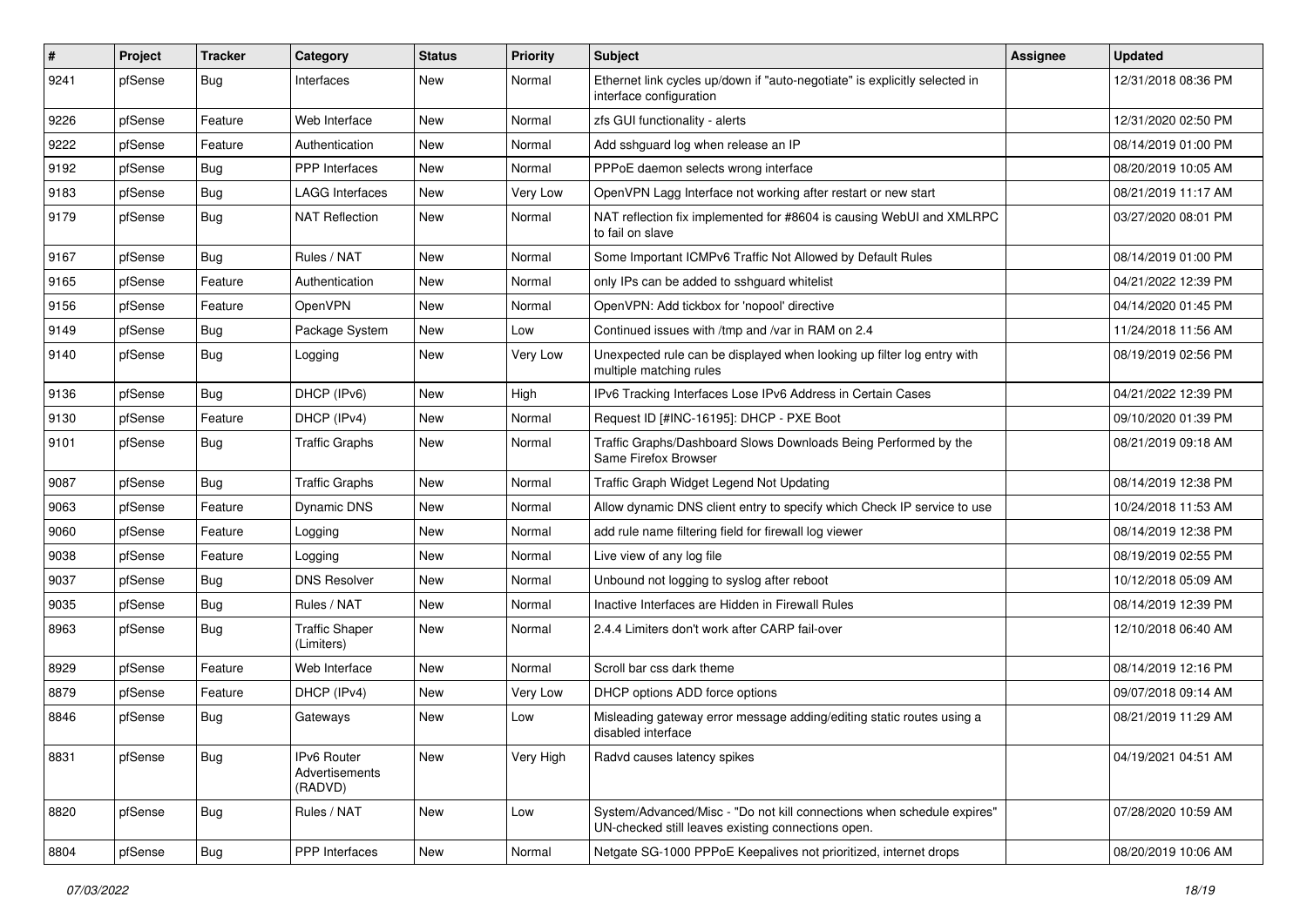| #    | Project | <b>Tracker</b> | Category                                 | <b>Status</b> | <b>Priority</b> | Subject                                                                                                                      | <b>Assignee</b> | <b>Updated</b>      |
|------|---------|----------------|------------------------------------------|---------------|-----------------|------------------------------------------------------------------------------------------------------------------------------|-----------------|---------------------|
| 9241 | pfSense | <b>Bug</b>     | Interfaces                               | New           | Normal          | Ethernet link cycles up/down if "auto-negotiate" is explicitly selected in<br>interface configuration                        |                 | 12/31/2018 08:36 PM |
| 9226 | pfSense | Feature        | Web Interface                            | New           | Normal          | zfs GUI functionality - alerts                                                                                               |                 | 12/31/2020 02:50 PM |
| 9222 | pfSense | Feature        | Authentication                           | New           | Normal          | Add sshguard log when release an IP                                                                                          |                 | 08/14/2019 01:00 PM |
| 9192 | pfSense | Bug            | PPP Interfaces                           | <b>New</b>    | Normal          | PPPoE daemon selects wrong interface                                                                                         |                 | 08/20/2019 10:05 AM |
| 9183 | pfSense | Bug            | <b>LAGG Interfaces</b>                   | New           | Very Low        | OpenVPN Lagg Interface not working after restart or new start                                                                |                 | 08/21/2019 11:17 AM |
| 9179 | pfSense | Bug            | <b>NAT Reflection</b>                    | New           | Normal          | NAT reflection fix implemented for #8604 is causing WebUI and XMLRPC<br>to fail on slave                                     |                 | 03/27/2020 08:01 PM |
| 9167 | pfSense | Bug            | Rules / NAT                              | New           | Normal          | Some Important ICMPv6 Traffic Not Allowed by Default Rules                                                                   |                 | 08/14/2019 01:00 PM |
| 9165 | pfSense | Feature        | Authentication                           | New           | Normal          | only IPs can be added to sshguard whitelist                                                                                  |                 | 04/21/2022 12:39 PM |
| 9156 | pfSense | Feature        | OpenVPN                                  | New           | Normal          | OpenVPN: Add tickbox for 'nopool' directive                                                                                  |                 | 04/14/2020 01:45 PM |
| 9149 | pfSense | Bug            | Package System                           | New           | Low             | Continued issues with /tmp and /var in RAM on 2.4                                                                            |                 | 11/24/2018 11:56 AM |
| 9140 | pfSense | <b>Bug</b>     | Logging                                  | New           | Very Low        | Unexpected rule can be displayed when looking up filter log entry with<br>multiple matching rules                            |                 | 08/19/2019 02:56 PM |
| 9136 | pfSense | Bug            | DHCP (IPv6)                              | New           | High            | IPv6 Tracking Interfaces Lose IPv6 Address in Certain Cases                                                                  |                 | 04/21/2022 12:39 PM |
| 9130 | pfSense | Feature        | DHCP (IPv4)                              | New           | Normal          | Request ID [#INC-16195]: DHCP - PXE Boot                                                                                     |                 | 09/10/2020 01:39 PM |
| 9101 | pfSense | Bug            | <b>Traffic Graphs</b>                    | New           | Normal          | Traffic Graphs/Dashboard Slows Downloads Being Performed by the<br>Same Firefox Browser                                      |                 | 08/21/2019 09:18 AM |
| 9087 | pfSense | Bug            | <b>Traffic Graphs</b>                    | New           | Normal          | Traffic Graph Widget Legend Not Updating                                                                                     |                 | 08/14/2019 12:38 PM |
| 9063 | pfSense | Feature        | Dynamic DNS                              | New           | Normal          | Allow dynamic DNS client entry to specify which Check IP service to use                                                      |                 | 10/24/2018 11:53 AM |
| 9060 | pfSense | Feature        | Logging                                  | New           | Normal          | add rule name filtering field for firewall log viewer                                                                        |                 | 08/14/2019 12:38 PM |
| 9038 | pfSense | Feature        | Logging                                  | <b>New</b>    | Normal          | Live view of any log file                                                                                                    |                 | 08/19/2019 02:55 PM |
| 9037 | pfSense | Bug            | <b>DNS Resolver</b>                      | New           | Normal          | Unbound not logging to syslog after reboot                                                                                   |                 | 10/12/2018 05:09 AM |
| 9035 | pfSense | Bug            | Rules / NAT                              | <b>New</b>    | Normal          | Inactive Interfaces are Hidden in Firewall Rules                                                                             |                 | 08/14/2019 12:39 PM |
| 8963 | pfSense | <b>Bug</b>     | <b>Traffic Shaper</b><br>(Limiters)      | New           | Normal          | 2.4.4 Limiters don't work after CARP fail-over                                                                               |                 | 12/10/2018 06:40 AM |
| 8929 | pfSense | Feature        | Web Interface                            | New           | Normal          | Scroll bar css dark theme                                                                                                    |                 | 08/14/2019 12:16 PM |
| 8879 | pfSense | Feature        | DHCP (IPv4)                              | New           | Very Low        | DHCP options ADD force options                                                                                               |                 | 09/07/2018 09:14 AM |
| 8846 | pfSense | <b>Bug</b>     | Gateways                                 | New           | Low             | Misleading gateway error message adding/editing static routes using a<br>disabled interface                                  |                 | 08/21/2019 11:29 AM |
| 8831 | pfSense | Bug            | IPv6 Router<br>Advertisements<br>(RADVD) | New           | Very High       | Radvd causes latency spikes                                                                                                  |                 | 04/19/2021 04:51 AM |
| 8820 | pfSense | <b>Bug</b>     | Rules / NAT                              | New           | Low             | System/Advanced/Misc - "Do not kill connections when schedule expires"<br>UN-checked still leaves existing connections open. |                 | 07/28/2020 10:59 AM |
| 8804 | pfSense | Bug            | PPP Interfaces                           | New           | Normal          | Netgate SG-1000 PPPoE Keepalives not prioritized, internet drops                                                             |                 | 08/20/2019 10:06 AM |